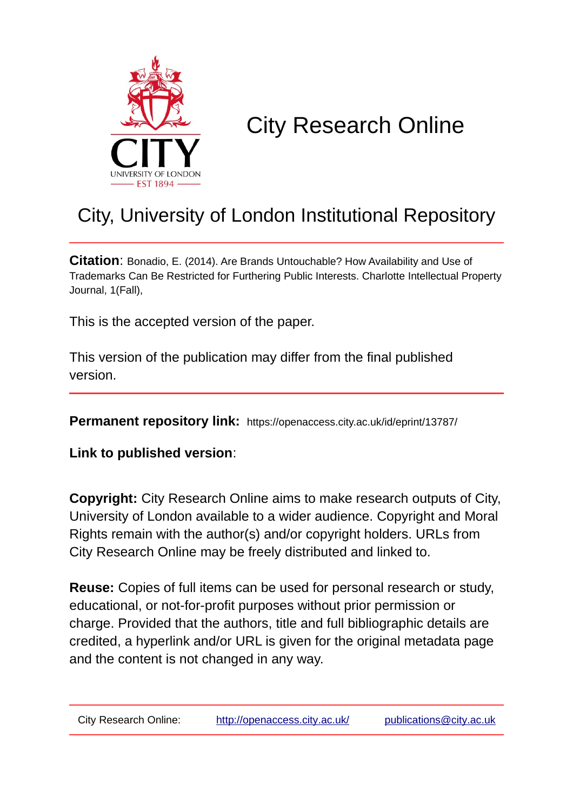

# City Research Online

## City, University of London Institutional Repository

**Citation**: Bonadio, E. (2014). Are Brands Untouchable? How Availability and Use of Trademarks Can Be Restricted for Furthering Public Interests. Charlotte Intellectual Property Journal, 1(Fall),

This is the accepted version of the paper.

This version of the publication may differ from the final published version.

**Permanent repository link:** https://openaccess.city.ac.uk/id/eprint/13787/

**Link to published version**:

**Copyright:** City Research Online aims to make research outputs of City, University of London available to a wider audience. Copyright and Moral Rights remain with the author(s) and/or copyright holders. URLs from City Research Online may be freely distributed and linked to.

**Reuse:** Copies of full items can be used for personal research or study, educational, or not-for-profit purposes without prior permission or charge. Provided that the authors, title and full bibliographic details are credited, a hyperlink and/or URL is given for the original metadata page and the content is not changed in any way.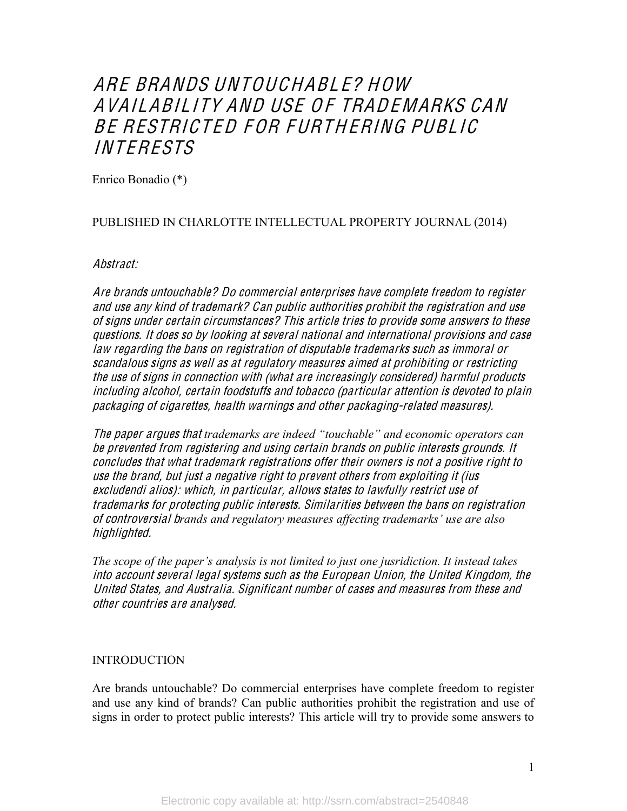### ARE BRANDS UNTOUCHABL E? HOW AVAILABILITY AND USE OF TRADEMARKS CAN BE RESTRICTED FOR FURTHERING PUBLIC **INTERESTS**

Enrico Bonadio (\*)

#### PUBLISHED IN CHARLOTTE INTELLECTUAL PROPERTY JOURNAL (2014)

#### Abstract:

Ar<sup>e</sup> brand<sup>s</sup> untouchable? Do <sup>c</sup>ommercial <sup>e</sup>nterpri<sup>s</sup>e<sup>s</sup> hav<sup>e</sup> <sup>c</sup>omplet<sup>e</sup> freedom t<sup>o</sup> <sup>r</sup><sup>e</sup>giste<sup>r</sup> and <sup>u</sup>s<sup>e</sup> any kind <sup>o</sup>f trademark? Can publi<sup>c</sup> authoritie<sup>s</sup> prohibit th<sup>e</sup> <sup>r</sup><sup>e</sup>gistration and <sup>u</sup>s<sup>e</sup> <sup>o</sup>f <sup>s</sup>ign<sup>s</sup> unde<sup>r</sup> certain <sup>c</sup>ircumstances? Thi<sup>s</sup> articl<sup>e</sup> trie<sup>s</sup> t<sup>o</sup> provid<sup>e</sup> <sup>s</sup>om<sup>e</sup> answer<sup>s</sup> t<sup>o</sup> thes<sup>e</sup> questions. It doe<sup>s</sup> <sup>s</sup><sup>o</sup> by looking <sup>a</sup>t <sup>s</sup>everal national and international provision<sup>s</sup> and <sup>c</sup>as<sup>e</sup> law <sup>r</sup><sup>e</sup>garding th<sup>e</sup> ban<sup>s</sup> on <sup>r</sup><sup>e</sup>gistration <sup>o</sup>f disputabl<sup>e</sup> trademark<sup>s</sup> <sup>s</sup>uch <sup>a</sup><sup>s</sup> immoral or <sup>s</sup>candalou<sup>s</sup> <sup>s</sup>ign<sup>s</sup> <sup>a</sup><sup>s</sup> <sup>w</sup>ell <sup>a</sup><sup>s</sup> <sup>a</sup>t <sup>r</sup><sup>e</sup>gulatory <sup>m</sup>easure<sup>s</sup> aimed <sup>a</sup>t prohibiting or <sup>r</sup>estricting th<sup>e</sup> <sup>u</sup>s<sup>e</sup> <sup>o</sup>f <sup>s</sup>ign<sup>s</sup> in <sup>c</sup>onnection with (what ar<sup>e</sup> increa<sup>s</sup>ingly <sup>c</sup>onsider<sup>e</sup>d) harmful products including alcohol, certain foodstuffs and tobacc<sup>o</sup> (particular <sup>a</sup>ttention i<sup>s</sup> devoted t<sup>o</sup> plain packaging <sup>o</sup>f <sup>c</sup>igarettes, health warning<sup>s</sup> and <sup>o</sup>the<sup>r</sup> packaging-related <sup>m</sup>easure<sup>s</sup>).

The paper argues that *trademarks are indeed* "touchable" and economic operators can b<sup>e</sup> prevented from <sup>r</sup><sup>e</sup>gistering and <sup>u</sup><sup>s</sup>ing certain brand<sup>s</sup> on publi<sup>c</sup> interests ground<sup>s</sup>. It <sup>c</sup>onclude<sup>s</sup> that what trademark <sup>r</sup><sup>e</sup>gistration<sup>s</sup> <sup>o</sup>ffe<sup>r</sup> their owner<sup>s</sup> i<sup>s</sup> not <sup>a</sup> positiv<sup>e</sup> right t<sup>o</sup> <sup>u</sup>s<sup>e</sup> th<sup>e</sup> brand, but just <sup>a</sup> <sup>n</sup>egativ<sup>e</sup> right t<sup>o</sup> prevent <sup>o</sup>ther<sup>s</sup> from <sup>e</sup>xploiting it (iu<sup>s</sup> <sup>e</sup>xcludendi alios): which, in particular, allow<sup>s</sup> state<sup>s</sup> t<sup>o</sup> lawfully <sup>r</sup>estrict <sup>u</sup>s<sup>e</sup> <sup>o</sup>f trademark<sup>s</sup> for protecting publi<sup>c</sup> interests. Similaritie<sup>s</sup> betwee<sup>n</sup> th<sup>e</sup> ban<sup>s</sup> on <sup>r</sup><sup>e</sup>gistration of controversial brands and regulatory measures affecting trademarks' use are also highlighted.

*The scope of the paper's analysis is not limited to just one jusridiction. It instead takes* int<sup>o</sup> <sup>a</sup>ccount <sup>s</sup>everal legal <sup>s</sup>ystem<sup>s</sup> <sup>s</sup>uch <sup>a</sup><sup>s</sup> th<sup>e</sup> Europ<sup>e</sup>an Union, th<sup>e</sup> United Kingdom, th<sup>e</sup> United States, and Australia. Significant numbe<sup>r</sup> <sup>o</sup>f <sup>c</sup>ase<sup>s</sup> and <sup>m</sup>easure<sup>s</sup> from thes<sup>e</sup> and <sup>o</sup>the<sup>r</sup> <sup>c</sup>ountrie<sup>s</sup> ar<sup>e</sup> analy<sup>s</sup>ed.

#### INTRODUCTION

Are brands untouchable? Do commercial enterprises have complete freedom to register and use any kind of brands? Can public authorities prohibit the registration and use of signs in order to protect public interests? This article will try to provide some answers to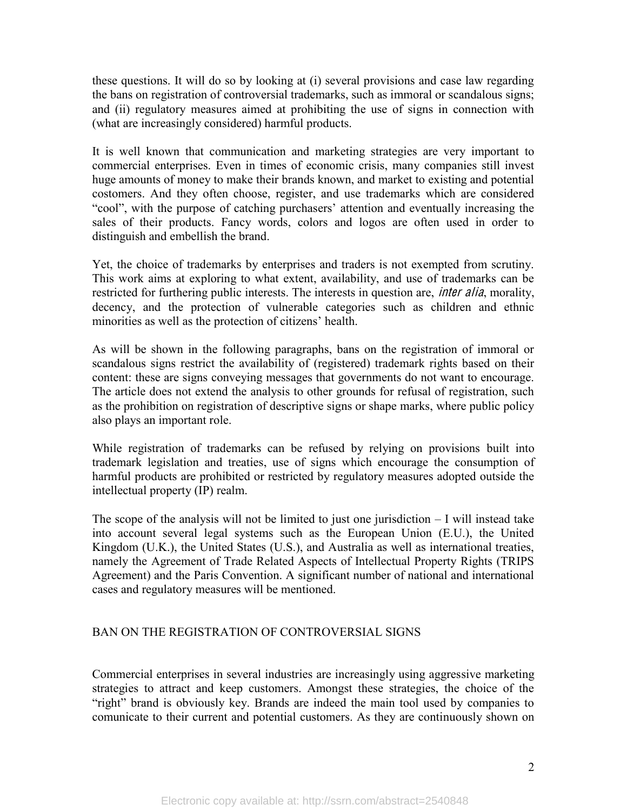these questions. It will do so by looking at (i) several provisions and case law regarding the bans on registration of controversial trademarks, such as immoral or scandalous signs; and (ii) regulatory measures aimed at prohibiting the use of signs in connection with (what are increasingly considered) harmful products.

It is well known that communication and marketing strategies are very important to commercial enterprises. Even in times of economic crisis, many companies still invest huge amounts of money to make their brands known, and market to existing and potential costomers. And they often choose, register, and use trademarks which are considered "cool", with the purpose of catching purchasers' attention and eventually increasing the sales of their products. Fancy words, colors and logos are often used in order to distinguish and embellish the brand.

Yet, the choice of trademarks by enterprises and traders is not exempted from scrutiny. This work aims at exploring to what extent, availability, and use of trademarks can be restricted for furthering public interests. The interests in question are, *inter alia*, morality, decency, and the protection of vulnerable categories such as children and ethnic minorities as well as the protection of citizens' health.

As will be shown in the following paragraphs, bans on the registration of immoral or scandalous signs restrict the availability of (registered) trademark rights based on their content: these are signs conveying messages that governments do not want to encourage. The article does not extend the analysis to other grounds for refusal of registration, such as the prohibition on registration of descriptive signs or shape marks, where public policy also plays an important role.

While registration of trademarks can be refused by relying on provisions built into trademark legislation and treaties, use of signs which encourage the consumption of harmful products are prohibited or restricted by regulatory measures adopted outside the intellectual property (IP) realm.

The scope of the analysis will not be limited to just one jurisdiction  $-I$  will instead take into account several legal systems such as the European Union (E.U.), the United Kingdom (U.K.), the United States (U.S.), and Australia as well as international treaties, namely the Agreement of Trade Related Aspects of Intellectual Property Rights (TRIPS Agreement) and the Paris Convention. A significant number of national and international cases and regulatory measures will be mentioned.

#### BAN ON THE REGISTRATION OF CONTROVERSIAL SIGNS

Commercial enterprises in several industries are increasingly using aggressive marketing strategies to attract and keep customers. Amongst these strategies, the choice of the "right" brand is obviously key. Brands are indeed the main tool used by companies to comunicate to their current and potential customers. As they are continuously shown on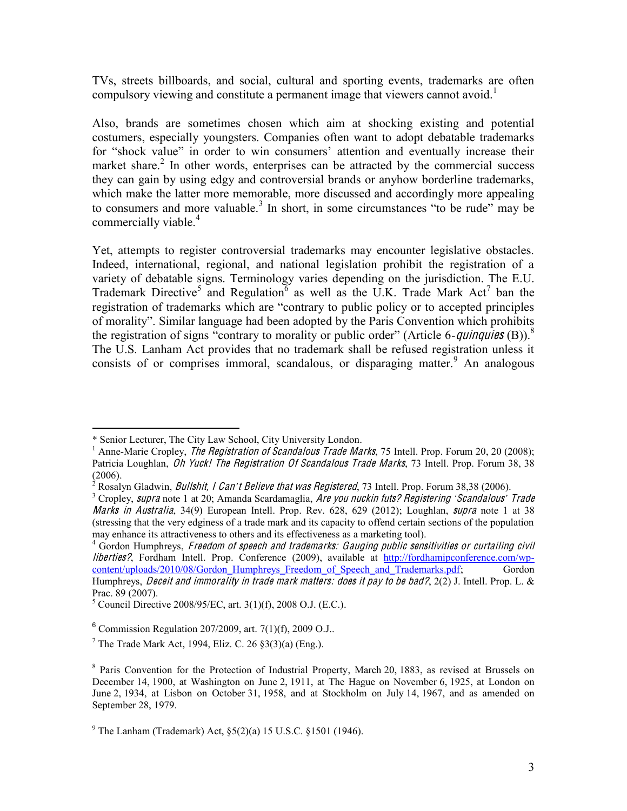TVs, streets billboards, and social, cultural and sporting events, trademarks are often compulsory viewing and constitute a permanent image that viewers cannot avoid.<sup>1</sup>

Also, brands are sometimes chosen which aim at shocking existing and potential costumers, especially youngsters. Companies often want to adopt debatable trademarks for "shock value" in order to win consumers' attention and eventually increase their market share.<sup>2</sup> In other words, enterprises can be attracted by the commercial success they can gain by using edgy and controversial brands or anyhow borderline trademarks, which make the latter more memorable, more discussed and accordingly more appealing to consumers and more valuable.<sup>3</sup> In short, in some circumstances "to be rude" may be commercially viable.<sup>4</sup>

Yet, attempts to register controversial trademarks may encounter legislative obstacles. Indeed, international, regional, and national legislation prohibit the registration of a variety of debatable signs. Terminology varies depending on the jurisdiction. The E.U. Trademark Directive<sup>5</sup> and Regulation<sup>6</sup> as well as the U.K. Trade Mark Act<sup>7</sup> ban the registration of trademarks which are "contrary to public policy or to accepted principles of morality". Similar language had been adopted by the Paris Convention which prohibits the registration of signs "contrary to morality or public order" (Article 6-quinquies (B)).<sup>8</sup> The U.S. Lanham Act provides that no trademark shall be refused registration unless it consists of or comprises immoral, scandalous, or disparaging matter. An analogous

 <sup>\*</sup> Senior Lecturer, The City Law School, City University London.

<sup>&</sup>lt;sup>1</sup> Anne-Marie Cropley, *The Registration of Scandalous Trade Marks*, 75 Intell. Prop. Forum 20, 20 (2008); Patricia Loughlan, Oh Yuck! The Registration Of Scandalous Trade Marks, 73 Intell. Prop. Forum 38, 38

<sup>(2006).&</sup>lt;br><sup>2</sup> Rosalyn Gladwin, *Bullshit, I Can't Believe that was Registered*, 73 Intell. Prop. Forum 38,38 (2006).<br><sup>3</sup> Cropley, *supra* note 1 at 20; Amanda Scardamaglia, *Are you nuckin futs? Registering 'Scandalous' Trad* 

Marks in Australia, 34(9) European Intell. Prop. Rev. 628, 629 (2012); Loughlan, *supra* note 1 at 38 (stressing that the very edginess of a trade mark and its capacity to offend certain sections of the population may enhance its attractiveness to others and its effectiveness as a marketing tool).

 $<sup>4</sup>$  Gordon Humphreys, Freedom of speech and trademarks: Gauging public sensitivities or curtailing civil</sup> liberties?, Fordham Intell. Prop. Conference (2009), available at http://fordhamipconference.com/wpcontent/uploads/2010/08/Gordon\_Humphreys\_Freedom\_of\_Speech\_and\_Trademarks.pdf; Gordon Humphreys, *Deceit and immorality in trade mark matters: does it pay to be bad?*, 2(2) J. Intell. Prop. L. &

Prac. 89 (2007).<br><sup>5</sup> Council Directive 2008/95/EC, art. 3(1)(f), 2008 O.J. (E.C.).

 $6$  Commission Regulation 207/2009, art. 7(1)(f), 2009 O.J..

<sup>&</sup>lt;sup>7</sup> The Trade Mark Act, 1994, Eliz. C. 26  $$3(3)(a)$  (Eng.).

 $8$  Paris Convention for the Protection of Industrial Property, March 20, 1883, as revised at Brussels on December 14, 1900, at Washington on June 2, 1911, at The Hague on November 6, 1925, at London on June 2, 1934, at Lisbon on October 31, 1958, and at Stockholm on July 14, 1967, and as amended on September 28, 1979.

<sup>&</sup>lt;sup>9</sup> The Lanham (Trademark) Act,  $\S(2)(a)$  15 U.S.C.  $\S1501$  (1946).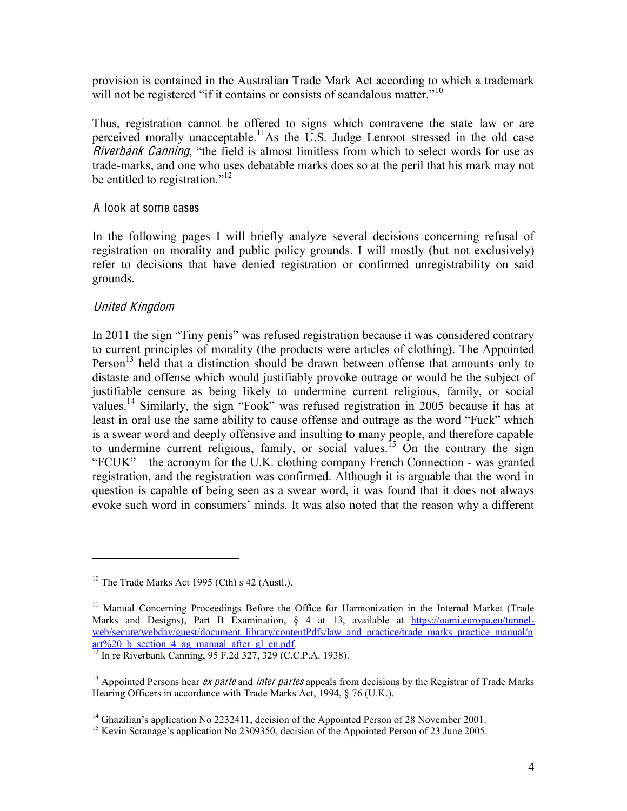provision is contained in the Australian Trade Mark Act according to which a trademark will not be registered "if it contains or consists of scandalous matter."<sup>10</sup>

Thus, registration cannot be offered to signs which contravene the state law or are perceived morally unacceptable.<sup>11</sup>As the U.S. Judge Lenroot stressed in the old case Riverbank Canning, "the field is almost limitless from which to select words for use as trade-marks, and one who uses debatable marks does so at the peril that his mark may not be entitled to registration."<sup>12</sup>

#### A look at some cases

In the following pages I will briefly analyze several decisions concerning refusal of registration on morality and public policy grounds. I will mostly (but not exclusively) refer to decisions that have denied registration or confirmed unregistrability on said grounds.

#### United Kingdom

 $\overline{a}$ 

In 2011 the sign "Tiny penis" was refused registration because it was considered contrary to current principles of morality (the products were articles of clothing). The Appointed Person<sup>13</sup> held that a distinction should be drawn between offense that amounts only to distaste and offense which would justifiably provoke outrage or would be the subject of justifiable censure as being likely to undermine current religious, family, or social values.<sup>14</sup> Similarly, the sign "Fook" was refused registration in 2005 because it has at least in oral use the same ability to cause offense and outrage as the word "Fuck" which is a swear word and deeply offensive and insulting to many people, and therefore capable to undermine current religious, family, or social values.<sup>15</sup> On the contrary the sign  $"FCUK" – the acronym for the U.K. clothing company French Connection – was granted$ registration, and the registration was confirmed. Although it is arguable that the word in question is capable of being seen as a swear word, it was found that it does not always evoke such word in consumers' minds. It was also noted that the reason why a different

 $10$  The Trade Marks Act 1995 (Cth) s 42 (Austl.).

<sup>&</sup>lt;sup>11</sup> Manual Concerning Proceedings Before the Office for Harmonization in the Internal Market (Trade Marks and Designs), Part B Examination, § 4 at 13, available at https://oami.europa.eu/tunnelweb/secure/webdav/guest/document\_library/contentPdfs/law\_and\_practice/trade\_marks\_practice\_manual/p art%20\_b\_section\_4\_ag\_manual\_after\_gl\_en.pdf.<br>
<sup>12</sup> In re Riverbank Canning, 95 F.2d 327, 329 (C.C.P.A. 1938).

<sup>&</sup>lt;sup>13</sup> Appointed Persons hear *ex parte* and *inter partes* appeals from decisions by the Registrar of Trade Marks Hearing Officers in accordance with Trade Marks Act, 1994, § 76 (U.K.).

<sup>&</sup>lt;sup>14</sup> Ghazilian's application No 2232411, decision of the Appointed Person of 28 November 2001.<br><sup>15</sup> Kevin Scranage's application No 2309350, decision of the Appointed Person of 23 June 2005.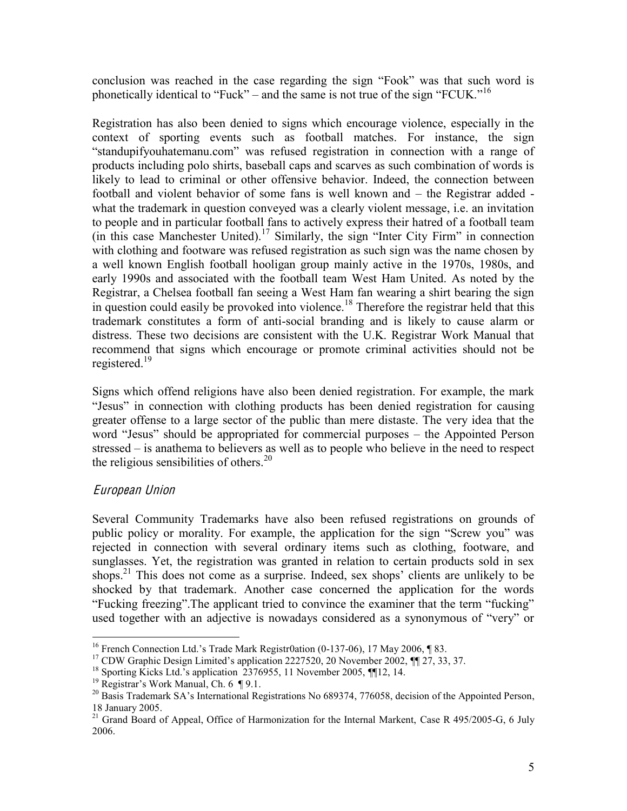conclusion was reached in the case regarding the sign "Fook" was that such word is phonetically identical to "Fuck" – and the same is not true of the sign "FCUK."<sup>16</sup>

Registration has also been denied to signs which encourage violence, especially in the context of sporting events such as football matches. For instance, the sign "standupifyouhatemanu.com" was refused registration in connection with a range of products including polo shirts, baseball caps and scarves as such combination of words is likely to lead to criminal or other offensive behavior. Indeed, the connection between football and violent behavior of some fans is well known and  $-$  the Registrar added  $$ what the trademark in question conveyed was a clearly violent message, i.e. an invitation to people and in particular football fans to actively express their hatred of a football team (in this case Manchester United).<sup>17</sup> Similarly, the sign "Inter City Firm" in connection with clothing and footware was refused registration as such sign was the name chosen by a well known English football hooligan group mainly active in the 1970s, 1980s, and early 1990s and associated with the football team West Ham United. As noted by the Registrar, a Chelsea football fan seeing a West Ham fan wearing a shirt bearing the sign in question could easily be provoked into violence.<sup>18</sup> Therefore the registrar held that this trademark constitutes a form of anti-social branding and is likely to cause alarm or distress. These two decisions are consistent with the U.K. Registrar Work Manual that recommend that signs which encourage or promote criminal activities should not be registered.<sup>19</sup>

Signs which offend religions have also been denied registration. For example, the mark "Jesus" in connection with clothing products has been denied registration for causing greater offense to a large sector of the public than mere distaste. The very idea that the word "Jesus" should be appropriated for commercial purposes – the Appointed Person stressed  $-\overline{\ }$  is anathema to believers as well as to people who believe in the need to respect the religious sensibilities of others.<sup>20</sup>

#### Europ<sup>e</sup>an Union

Several Community Trademarks have also been refused registrations on grounds of public policy or morality. For example, the application for the sign "Screw you" was rejected in connection with several ordinary items such as clothing, footware, and sunglasses. Yet, the registration was granted in relation to certain products sold in sex shops.<sup>21</sup> This does not come as a surprise. Indeed, sex shops' clients are unlikely to be shocked by that trademark. Another case concerned the application for the words "Fucking freezing". The applicant tried to convince the examiner that the term "fucking" used together with an adjective is nowadays considered as a synonymous of "very" or

<sup>&</sup>lt;sup>16</sup> French Connection Ltd.'s Trade Mark Registr0ation (0-137-06), 17 May 2006, ¶ 83.<br><sup>17</sup> CDW Graphic Design Limited's application 2227520, 20 November 2002, ¶ 27, 33, 37.<br><sup>18</sup> Sporting Kicks Ltd.'s application 2376955,

<sup>18</sup> January 2005.

<sup>&</sup>lt;sup>21</sup> Grand Board of Appeal, Office of Harmonization for the Internal Markent, Case R 495/2005-G, 6 July 2006.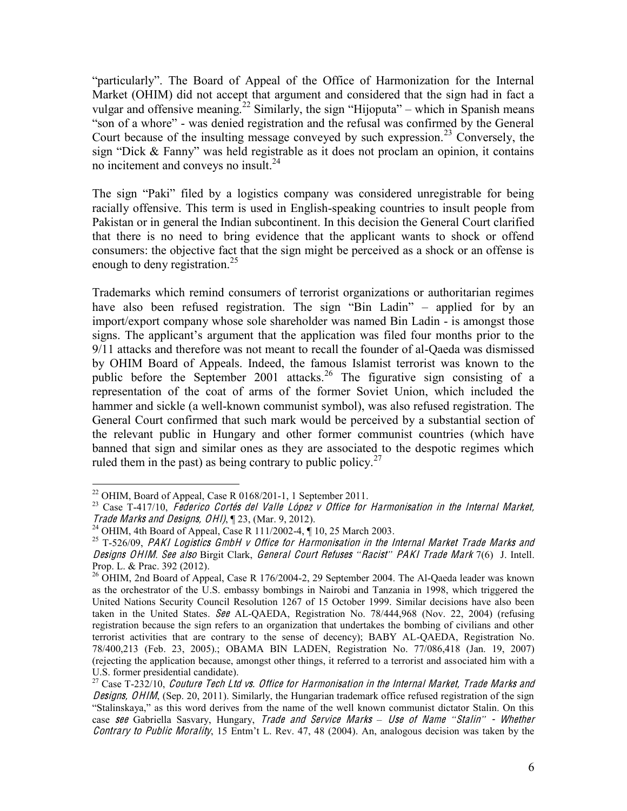"particularly". The Board of Appeal of the Office of Harmonization for the Internal Market (OHIM) did not accept that argument and considered that the sign had in fact a vulgar and offensive meaning.<sup>22</sup> Similarly, the sign "Hijoputa" – which in Spanish means "son of a whore" - was denied registration and the refusal was confirmed by the General Court because of the insulting message conveyed by such expression.<sup>23</sup> Conversely, the sign "Dick  $& Fanny$ " was held registrable as it does not proclam an opinion, it contains no incitement and conveys no insult.<sup>24</sup>

The sign "Paki" filed by a logistics company was considered unregistrable for being racially offensive. This term is used in English-speaking countries to insult people from Pakistan or in general the Indian subcontinent. In this decision the General Court clarified that there is no need to bring evidence that the applicant wants to shock or offend consumers: the objective fact that the sign might be perceived as a shock or an offense is enough to deny registration.<sup>25</sup>

Trademarks which remind consumers of terrorist organizations or authoritarian regimes have also been refused registration. The sign "Bin Ladin"  $-$  applied for by an import/export company whose sole shareholder was named Bin Ladin - is amongst those signs. The applicant's argument that the application was filed four months prior to the 9/11 attacks and therefore was not meant to recall the founder of al-Qaeda was dismissed by OHIM Board of Appeals. Indeed, the famous Islamist terrorist was known to the public before the September 2001 attacks.<sup>26</sup> The figurative sign consisting of a representation of the coat of arms of the former Soviet Union, which included the hammer and sickle (a well-known communist symbol), was also refused registration. The General Court confirmed that such mark would be perceived by a substantial section of the relevant public in Hungary and other former communist countries (which have banned that sign and similar ones as they are associated to the despotic regimes which ruled them in the past) as being contrary to public policy.<sup>27</sup>

<sup>&</sup>lt;sup>22</sup> OHIM, Board of Appeal, Case R 0168/201-1, 1 September 2011.<br><sup>23</sup> Case T-417/10, *Federico Cortés del Valle López v Office for Harmonisation in the Internal Market,* Trade Marks and Designs, OHI),  $\P$  23, (Mar. 9, 2012).<br><sup>24</sup> OHIM, 4th Board of Appeal, Case R 111/2002-4,  $\P$  10, 25 March 2003.<br><sup>25</sup> T-526/09, *PAKI Logistics GmbH v Office for Harmonisation in the Internal Market Trade* 

Designs OHIM. See also Birgit Clark, General Court Refuses "Racist" PAKI Trade Mark 7(6) J. Intell. Prop. L. & Prac. 392 (2012).<br><sup>26</sup> OHIM, 2nd Board of Appeal, Case R 176/2004-2, 29 September 2004. The Al-Qaeda leader was known

as the orchestrator of the U.S. embassy bombings in Nairobi and Tanzania in 1998, which triggered the United Nations Security Council Resolution 1267 of 15 October 1999. Similar decisions have also been taken in the United States. See AL-OAEDA, Registration No. 78/444,968 (Nov. 22, 2004) (refusing registration because the sign refers to an organization that undertakes the bombing of civilians and other terrorist activities that are contrary to the sense of decency); BABY AL-QAEDA, Registration No. 78/400,213 (Feb. 23, 2005).; OBAMA BIN LADEN, Registration No. 77/086,418 (Jan. 19, 2007) (rejecting the application because, amongst other things, it referred to a terrorist and associated him with a

 $^{27}$  Case T-232/10, Couture Tech Ltd vs. Office for Harmonisation in the Internal Market, Trade Marks and Designs, OHIM, (Sep. 20, 2011). Similarly, the Hungarian trademark office refused registration of the sign "Stalinskaya," as this word derives from the name of the well known communist dictator Stalin. On this case see Gabriella Sasvary, Hungary, Trade and Service Marks – Use of Name "Stalin" - Whether Contrary to Public Morality, 15 Entm't L. Rev. 47, 48 (2004). An, analogous decision was taken by the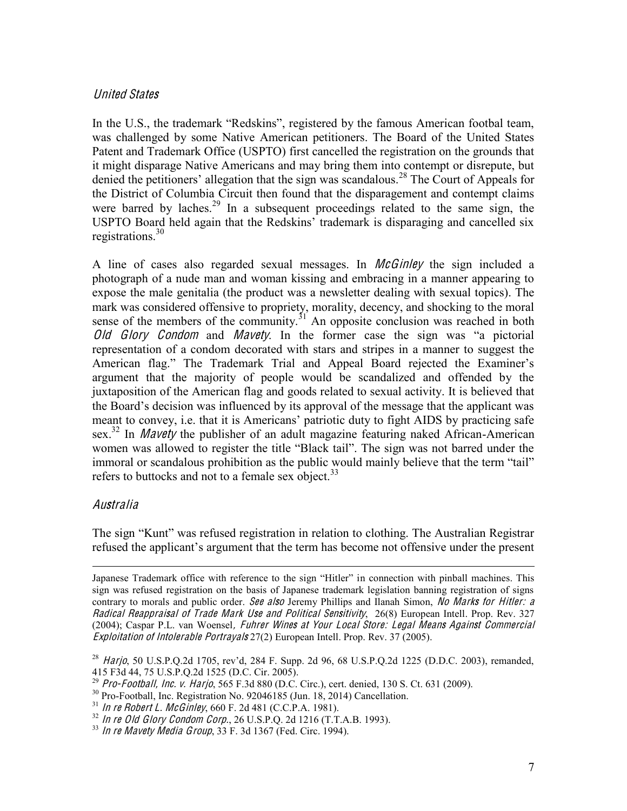#### United States

In the U.S., the trademark "Redskins", registered by the famous American footbal team, was challenged by some Native American petitioners. The Board of the United States Patent and Trademark Office (USPTO) first cancelled the registration on the grounds that it might disparage Native Americans and may bring them into contempt or disrepute, but denied the petitioners' allegation that the sign was scandalous.<sup>28</sup> The Court of Appeals for the District of Columbia Circuit then found that the disparagement and contempt claims were barred by laches.<sup>29</sup> In a subsequent proceedings related to the same sign, the USPTO Board held again that the Redskins' trademark is disparaging and cancelled six registrations.<sup>30</sup>

A line of cases also regarded sexual messages. In *McGinley* the sign included a photograph of a nude man and woman kissing and embracing in a manner appearing to expose the male genitalia (the product was a newsletter dealing with sexual topics). The mark was considered offensive to propriety, morality, decency, and shocking to the moral sense of the members of the community.<sup>31</sup> An opposite conclusion was reached in both Old Glory Condom and Mavety. In the former case the sign was "a pictorial representation of a condom decorated with stars and stripes in a manner to suggest the American flag." The Trademark Trial and Appeal Board rejected the Examiner's argument that the majority of people would be scandalized and offended by the juxtaposition of the American flag and goods related to sexual activity. It is believed that the Board's decision was influenced by its approval of the message that the applicant was meant to convey, i.e. that it is Americans' patriotic duty to fight AIDS by practicing safe sex.<sup>32</sup> In *Mavety* the publisher of an adult magazine featuring naked African-American women was allowed to register the title "Black tail". The sign was not barred under the immoral or scandalous prohibition as the public would mainly believe that the term "tail" refers to buttocks and not to a female sex object.<sup>33</sup>

#### Australia

 $\overline{a}$ 

The sign "Kunt" was refused registration in relation to clothing. The Australian Registrar refused the applicant's argument that the term has become not offensive under the present

Japanese Trademark office with reference to the sign "Hitler" in connection with pinball machines. This sign was refused registration on the basis of Japanese trademark legislation banning registration of signs contrary to morals and public order. See also Jeremy Phillips and Ilanah Simon, No Marks for Hitler: a Radical Reappraisal <sup>o</sup>f Trad<sup>e</sup> Mark Us<sup>e</sup> and Political Sensitivity, 26(8) European Intell. Prop. Rev. 327 (2004); Caspar P.L. van Woensel, Fuhre<sup>r</sup> Wine<sup>s</sup> <sup>a</sup><sup>t</sup> Your Local Store: Legal Mean<sup>s</sup> Against Commercial Exploitation <sup>o</sup>f Intolerabl<sup>e</sup> Portrayal<sup>s</sup> 27(2) European Intell. Prop. Rev. 37 (2005).

<sup>&</sup>lt;sup>28</sup> Harjo, 50 U.S.P.Q.2d 1705, rev'd, 284 F. Supp. 2d 96, 68 U.S.P.Q.2d 1225 (D.D.C. 2003), remanded, 415 F3d 44, 75 U.S.P.Q.2d 1525 (D.C. Cir. 2005).

<sup>&</sup>lt;sup>29</sup> *Pro-Football, Inc. v. Harjo,* 565 F.3d 880 (D.C. Circ.), cert. denied, 130 S. Ct. 631 (2009).<br><sup>30</sup> Pro-Football, Inc. Registration No. 92046185 (Jun. 18, 2014) Cancellation.<br><sup>31</sup> In re Robert L. McGinley, 660 F. 2d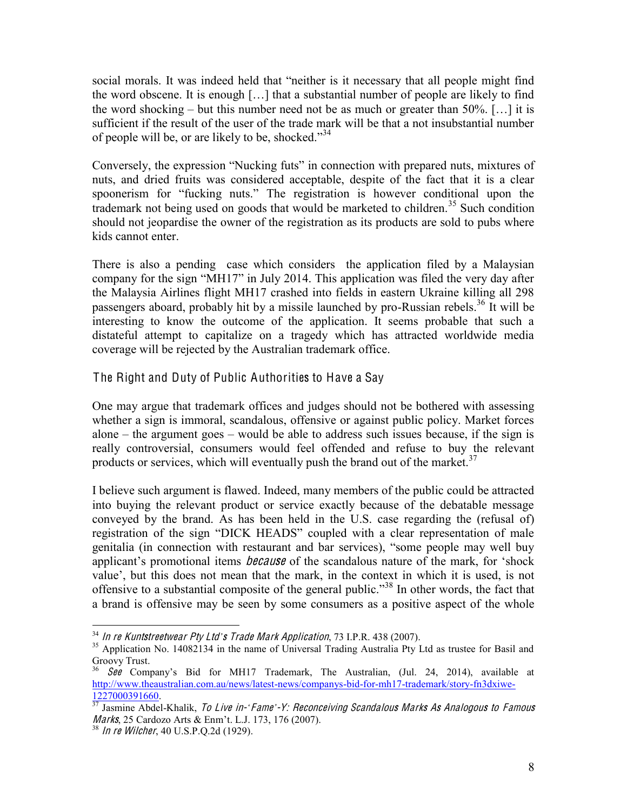social morals. It was indeed held that "neither is it necessary that all people might find the word obscene. It is enough [ $\dots$ ] that a substantial number of people are likely to find the word shocking  $-$  but this number need not be as much or greater than 50%. [...] it is sufficient if the result of the user of the trade mark will be that a not insubstantial number of people will be, or are likely to be, shocked."<sup>34</sup>

Conversely, the expression "Nucking futs" in connection with prepared nuts, mixtures of nuts, and dried fruits was considered acceptable, despite of the fact that it is a clear spoonerism for "fucking nuts." The registration is however conditional upon the trademark not being used on goods that would be marketed to children.<sup>35</sup> Such condition should not jeopardise the owner of the registration as its products are sold to pubs where kids cannot enter.

There is also a pending case which considers the application filed by a Malaysian company for the sign "MH17" in July 2014. This application was filed the very day after the Malaysia Airlines flight MH17 crashed into fields in eastern Ukraine killing all 298 passengers aboard, probably hit by a missile launched by pro-Russian rebels.<sup>36</sup> It will be interesting to know the outcome of the application. It seems probable that such a distateful attempt to capitalize on a tragedy which has attracted worldwide media coverage will be rejected by the Australian trademark office.

The Right and Duty of Public Authorities to Have a Say

One may argue that trademark offices and judges should not be bothered with assessing whether a sign is immoral, scandalous, offensive or against public policy. Market forces alone  $-$  the argument goes  $-$  would be able to address such issues because, if the sign is really controversial, consumers would feel offended and refuse to buy the relevant products or services, which will eventually push the brand out of the market.<sup>37</sup>

I believe such argument is flawed. Indeed, many members of the public could be attracted into buying the relevant product or service exactly because of the debatable message conveyed by the brand. As has been held in the U.S. case regarding the (refusal of) registration of the sign "DICK HEADS" coupled with a clear representation of male genitalia (in connection with restaurant and bar services), "some people may well buy applicant's promotional items *because* of the scandalous nature of the mark, for 'shock value', but this does not mean that the mark, in the context in which it is used, is not offensive to a substantial composite of the general public."<sup>38</sup> In other words, the fact that a brand is offensive may be seen by some consumers as a positive aspect of the whole

<sup>&</sup>lt;sup>34</sup> In re Kuntstreetwear Pty Ltd's Trade Mark Application, 73 I.P.R. 438 (2007).<br><sup>35</sup> Application No. 14082134 in the name of Universal Trading Australia Pty Ltd as trustee for Basil and Groovy Trust.

 $See$  Company's Bid for MH17 Trademark, The Australian, (Jul. 24, 2014), available at http://www.theaustralian.com.au/news/latest-news/companys-bid-for-mh17-trademark/story-fn3dxiwe-

<sup>1227000391660.&</sup>lt;br><sup>37</sup> Jasmine Abdel-Khalik, To Live in-'Fame'-Y: Reconceiving Scandalous Marks As Analogous to Famous Marks, 25 Cardozo Arts & Enm't. L.J. 173, 176 (2007).<br><sup>38</sup> In re Wilcher, 40 U.S.P.Q.2d (1929).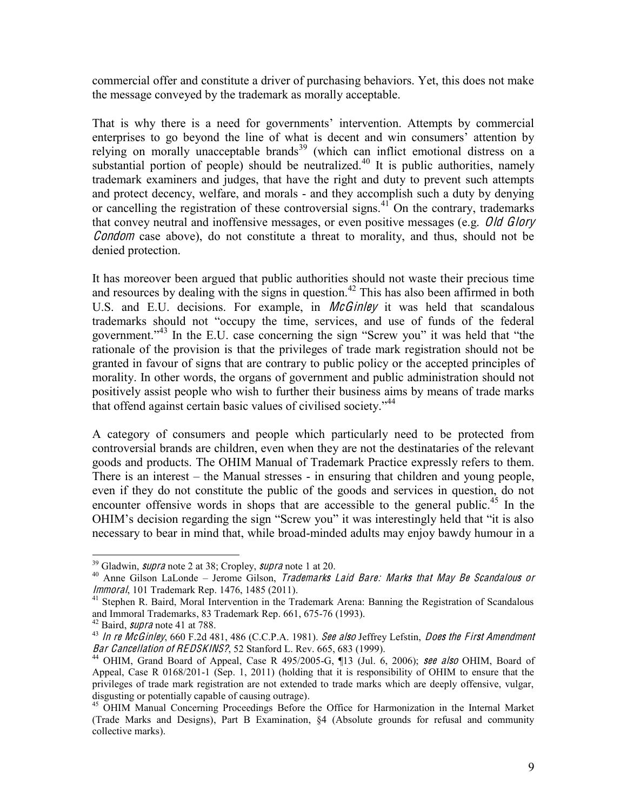commercial offer and constitute a driver of purchasing behaviors. Yet, this does not make the message conveyed by the trademark as morally acceptable.

That is why there is a need for governments' intervention. Attempts by commercial enterprises to go beyond the line of what is decent and win consumers' attention by relying on morally unacceptable brands<sup>39</sup> (which can inflict emotional distress on a substantial portion of people) should be neutralized.<sup>40</sup> It is public authorities, namely trademark examiners and judges, that have the right and duty to prevent such attempts and protect decency, welfare, and morals - and they accomplish such a duty by denying or cancelling the registration of these controversial signs.<sup>41</sup> On the contrary, trademarks that convey neutral and inoffensive messages, or even positive messages (e.g. Old Glory Condom case above), do not constitute a threat to morality, and thus, should not be denied protection.

It has moreover been argued that public authorities should not waste their precious time and resources by dealing with the signs in question.<sup>42</sup> This has also been affirmed in both U.S. and E.U. decisions. For example, in *McGinley* it was held that scandalous trademarks should not "occupy the time, services, and use of funds of the federal government." $43$  In the E.U. case concerning the sign "Screw you" it was held that "the rationale of the provision is that the privileges of trade mark registration should not be granted in favour of signs that are contrary to public policy or the accepted principles of morality. In other words, the organs of government and public administration should not positively assist people who wish to further their business aims by means of trade marks that offend against certain basic values of civilised society. $^{44}$ 

A category of consumers and people which particularly need to be protected from controversial brands are children, even when they are not the destinataries of the relevant goods and products. The OHIM Manual of Trademark Practice expressly refers to them. There is an interest  $-$  the Manual stresses  $-$  in ensuring that children and young people, even if they do not constitute the public of the goods and services in question, do not encounter offensive words in shops that are accessible to the general public.<sup>45</sup> In the OHIM's decision regarding the sign "Screw you" it was interestingly held that "it is also necessary to bear in mind that, while broad-minded adults may enjoy bawdy humour in a

<sup>&</sup>lt;sup>39</sup> Gladwin, *supra* note 2 at 38; Cropley, *supra* note 1 at 20.<br><sup>40</sup> Anne Gilson LaLonde – Jerome Gilson, *Trademarks Laid Bare: Marks that May Be Scandalous or Immoral*, 101 Trademark Rep. 1476, 1485 (2011).

<sup>&</sup>lt;sup>41</sup> Stephen R. Baird, Moral Intervention in the Trademark Arena: Banning the Registration of Scandalous and Immoral Trademarks, 83 Trademark Rep.  $661$ ,  $675-76$  (1993).

<sup>&</sup>lt;sup>42</sup> Baird, *supra* note 41 at 788.<br><sup>43</sup> In re McGinley, 660 F.2d 481, 486 (C.C.P.A. 1981). *See also* Jeffrey Lefstin, *Does the First Amendment*<br>Bar Cancellation of REDSKINS?, 52 Stanford L. Rev. 665, 683 (1999).

<sup>&</sup>lt;sup>44</sup> OHIM, Grand Board of Appeal, Case R 495/2005-G,  $\P$ 13 (Jul. 6, 2006); see also OHIM, Board of Appeal, Case R 0168/201-1 (Sep. 1, 2011) (holding that it is responsibility of OHIM to ensure that the privileges of trade mark registration are not extended to trade marks which are deeply offensive, vulgar, disgusting or potentially capable of causing outrage). <sup>45</sup> OHIM Manual Concerning Proceedings Before the Office for Harmonization in the Internal Market

<sup>(</sup>Trade Marks and Designs), Part B Examination, §4 (Absolute grounds for refusal and community collective marks).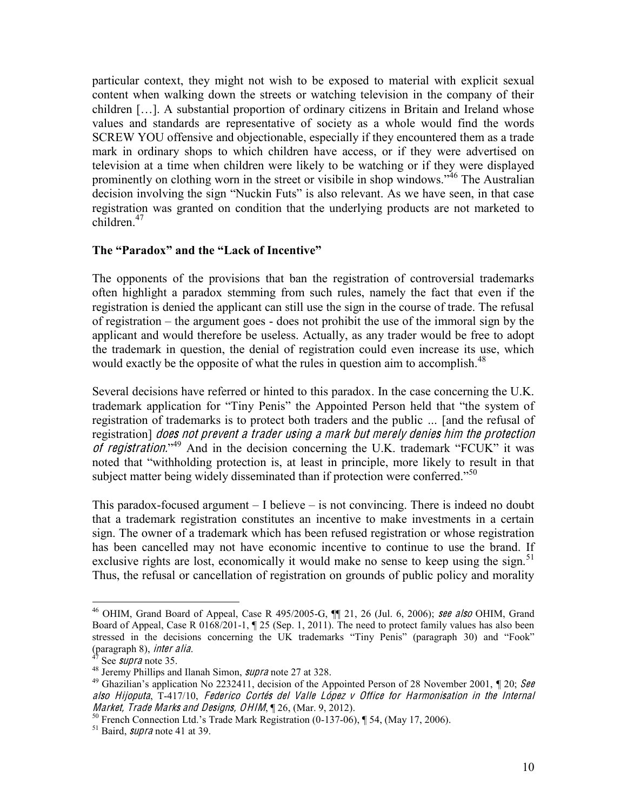particular context, they might not wish to be exposed to material with explicit sexual content when walking down the streets or watching television in the company of their children  $[\dots]$ . A substantial proportion of ordinary citizens in Britain and Ireland whose values and standards are representative of society as a whole would find the words SCREW YOU offensive and objectionable, especially if they encountered them as a trade mark in ordinary shops to which children have access, or if they were advertised on television at a time when children were likely to be watching or if they were displayed prominently on clothing worn in the street or visibile in shop windows.<sup>346</sup> The Australian decision involving the sign "Nuckin Futs" is also relevant. As we have seen, in that case registration was granted on condition that the underlying products are not marketed to  $children$ <sup>47</sup>

#### The "Paradox" and the "Lack of Incentive"

The opponents of the provisions that ban the registration of controversial trademarks often highlight a paradox stemming from such rules, namely the fact that even if the registration is denied the applicant can still use the sign in the course of trade. The refusal of registration – the argument goes - does not prohibit the use of the immoral sign by the applicant and would therefore be useless. Actually, as any trader would be free to adopt the trademark in question, the denial of registration could even increase its use, which would exactly be the opposite of what the rules in question aim to accomplish.<sup>48</sup>

Several decisions have referred or hinted to this paradox. In the case concerning the U.K. trademark application for "Tiny Penis" the Appointed Person held that "the system of registration of trademarks is to protect both traders and the public ... [and the refusal of registration] doe<sup>s</sup> no<sup>t</sup> preven<sup>t</sup> <sup>a</sup> <sup>t</sup>rade<sup>r</sup> <sup>u</sup><sup>s</sup>ing <sup>a</sup> mark bu<sup>t</sup> <sup>m</sup>er<sup>e</sup>ly denie<sup>s</sup> him <sup>t</sup>h<sup>e</sup> protection of registration."<sup>49</sup> And in the decision concerning the U.K. trademark "FCUK" it was noted that "withholding protection is, at least in principle, more likely to result in that subject matter being widely disseminated than if protection were conferred."<sup>50</sup>

This paradox-focused argument  $-I$  believe  $-\overline{i}$  is not convincing. There is indeed no doubt that a trademark registration constitutes an incentive to make investments in a certain sign. The owner of a trademark which has been refused registration or whose registration has been cancelled may not have economic incentive to continue to use the brand. If exclusive rights are lost, economically it would make no sense to keep using the sign.<sup>51</sup> Thus, the refusal or cancellation of registration on grounds of public policy and morality

<sup>&</sup>lt;sup>46</sup> OHIM, Grand Board of Appeal, Case R  $495/2005$ -G,  $\P\P$  21, 26 (Jul. 6, 2006); see also OHIM, Grand Board of Appeal, Case R 0168/201-1, ¶ 25 (Sep. 1, 2011). The need to protect family values has also been stressed in the decisions concerning the UK trademarks "Tiny Penis" (paragraph 30) and "Fook" (paragraph 8), *inter alia*.

<sup>&</sup>lt;sup>47</sup> See *supra* note 35.<br><sup>48</sup> Jeremy Phillips and Ilanah Simon, *supra* note 27 at 328.<br><sup>49</sup> Ghazilian's application No 2232411, decision of the Appointed Person of 28 November 2001, ¶ 20; See also Hijoputa, T-417/10, Federico Cortés del Valle López v Office for Harmonisation in the Internal<br>Market, Trade Marks and Designs, OHIM,¶26, (Mar. 9, 2012).

<sup>&</sup>lt;sup>50</sup> French Connection Ltd.'s Trade Mark Registration (0-137-06), ¶ 54, (May 17, 2006). <sup>51</sup> Baird, *supra* note 41 at 39.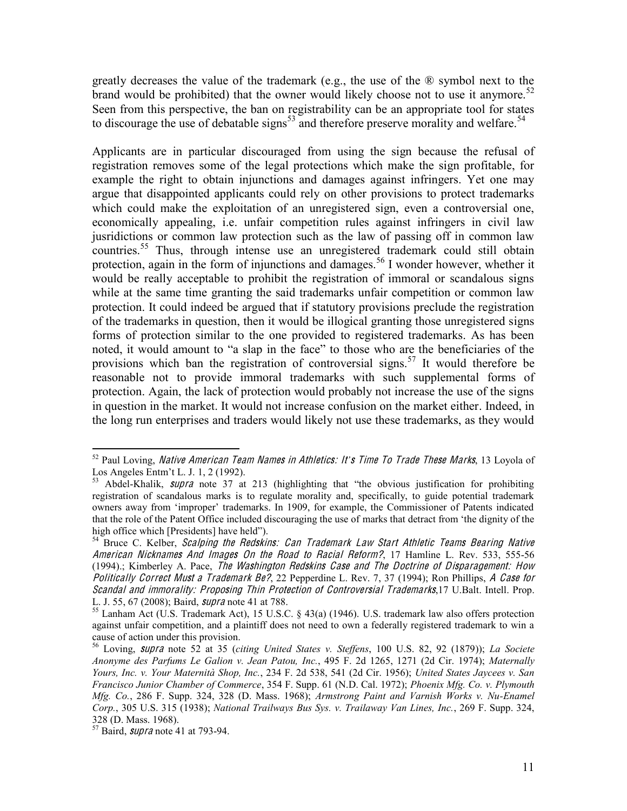greatly decreases the value of the trademark (e.g., the use of the ® symbol next to the brand would be prohibited) that the owner would likely choose not to use it anymore.<sup>52</sup> Seen from this perspective, the ban on registrability can be an appropriate tool for states to discourage the use of debatable signs<sup>53</sup> and therefore preserve morality and welfare.<sup>54</sup>

Applicants are in particular discouraged from using the sign because the refusal of registration removes some of the legal protections which make the sign profitable, for example the right to obtain injunctions and damages against infringers. Yet one may argue that disappointed applicants could rely on other provisions to protect trademarks which could make the exploitation of an unregistered sign, even a controversial one, economically appealing, i.e. unfair competition rules against infringers in civil law jusridictions or common law protection such as the law of passing off in common law countries.<sup>55</sup> Thus, through intense use an unregistered trademark could still obtain protection, again in the form of injunctions and damages.<sup>56</sup> I wonder however, whether it would be really acceptable to prohibit the registration of immoral or scandalous signs while at the same time granting the said trademarks unfair competition or common law protection. It could indeed be argued that if statutory provisions preclude the registration of the trademarks in question, then it would be illogical granting those unregistered signs forms of protection similar to the one provided to registered trademarks. As has been noted, it would amount to "a slap in the face" to those who are the beneficiaries of the provisions which ban the registration of controversial signs.<sup>57</sup> It would therefore be reasonable not to provide immoral trademarks with such supplemental forms of protection. Again, the lack of protection would probably not increase the use of the signs in question in the market. It would not increase confusion on the market either. Indeed, in the long run enterprises and traders would likely not use these trademarks, as they would

<sup>52</sup> Paul Loving, *Native American Team Names in Athletics: It's Time To Trade These Marks*, 13 Loyola of Los Angeles Entm't L. J. 1, 2 (1992).<br><sup>53</sup> Abdel-Khalik, *supra* note 37 at 213 (highlighting that "the obvious justification for prohibiting

registration of scandalous marks is to regulate morality and, specifically, to guide potential trademark owners away from 'improper' trademarks. In 1909, for example, the Commissioner of Patents indicated that the role of the Patent Office included discouraging the use of marks that detract from 'the dignity of the high office which [Presidents] have held").

 $54$  Bruce C. Kelber, Scalping the Redskins: Can Trademark Law Start Athletic Teams Bearing Native American Nicknames And Images On the Road to Racial Reform?, 17 Hamline L. Rev. 533, 555-56 (1994).; Kimberley A. Pace, Th<sup>e</sup> Washington Redskin<sup>s</sup> Cas<sup>e</sup> and Th<sup>e</sup> Doctrin<sup>e</sup> <sup>o</sup>f Disparagement: How Politically Correct Must a Trademark Be?, 22 Pepperdine L. Rev. 7, 37 (1994); Ron Phillips, A Case for Scandal and immorality: Proposing Thin Protection of Controversial Trademarks, 17 U.Balt. Intell. Prop. L. J. 55, 67 (2008); Baird, *supra* note 41 at 788.<br><sup>55</sup> Lanham Act (U.S. Trademark Act), 15 U.S.C. § 43(a) (1946). U.S. trademark law also offers protection

against unfair competition, and a plaintiff does not need to own a federally registered trademark to win a cause of action under this provision.

<sup>&</sup>lt;sup>56</sup> Loving, *supra* note 52 at 35 (*citing United States v. Steffens*, 100 U.S. 82, 92 (1879)); *La Societe Anonyme! des! Parfums! Le! Galion! v.! Jean!Patou, Inc.*," 495" F." 2d" 1265," 1271" (2d" Cir." 1974)V" *Maternally! Yours, Inc. v. Your Maternità Shop, Inc., 234 F. 2d 538, 541 (2d Cir. 1956); United States Jaycees v. San Francisco Junior Chamber of Commerce, 354 F. Supp. 61 (N.D. Cal. 1972); Phoenix Mfg. Co. v. Plymouth Mfg. Co., 286 F. Supp. 324, 328 (D. Mass. 1968); Armstrong Paint and Varnish Works v. Nu-Enamel Corp.*, 305 U.S. 315 (1938); *National Trailways Bus Sys. v. Trailaway Van Lines, Inc.*, 269 F. Supp. 324, 328 (D. Mass. 1968).

 $57$  Baird, *supra* note 41 at 793-94.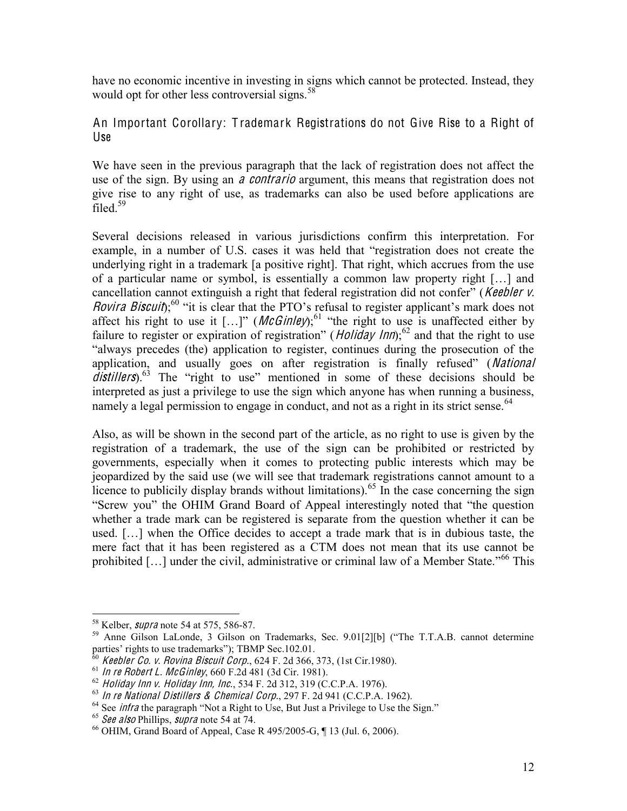have no economic incentive in investing in signs which cannot be protected. Instead, they would opt for other less controversial signs.<sup>58</sup>

An Important Corollary: T rademark Registrations do not Give Rise to a Right of Use

We have seen in the previous paragraph that the lack of registration does not affect the use of the sign. By using an *a contrario* argument, this means that registration does not give rise to any right of use, as trademarks can also be used before applications are filed. $59$ 

Several decisions released in various jurisdictions confirm this interpretation. For example, in a number of U.S. cases it was held that "registration does not create the underlying right in a trademark [a positive right]. That right, which accrues from the use of a particular name or symbol, is essentially a common law property right [...] and cancellation cannot extinguish a right that federal registration did not confer" (Keebler v. Rovira Biscuit);<sup>60</sup> "it is clear that the PTO's refusal to register applicant's mark does not affect his right to use it  $[...]$  (*McGinley*);<sup>61</sup> "the right to use is unaffected either by failure to register or expiration of registration" (*Holiday Inn*);<sup>62</sup> and that the right to use "always precedes (the) application to register, continues during the prosecution of the application, and usually goes on after registration is finally refused" (National distillers).<sup>63</sup> The "right to use" mentioned in some of these decisions should be interpreted as just a privilege to use the sign which anyone has when running a business, namely a legal permission to engage in conduct, and not as a right in its strict sense.<sup>64</sup>

Also, as will be shown in the second part of the article, as no right to use is given by the registration of a trademark, the use of the sign can be prohibited or restricted by governments, especially when it comes to protecting public interests which may be jeopardized by the said use (we will see that trademark registrations cannot amount to a licence to publicily display brands without limitations).<sup>65</sup> In the case concerning the sign "Screw you" the OHIM Grand Board of Appeal interestingly noted that "the question whether a trade mark can be registered is separate from the question whether it can be used. [...] when the Office decides to accept a trade mark that is in dubious taste, the mere fact that it has been registered as a CTM does not mean that its use cannot be prohibited [...] under the civil, administrative or criminal law of a Member State.<sup>566</sup> This

<sup>&</sup>lt;sup>58</sup> Kelber, *supra* note 54 at 575, 586-87.<br><sup>59</sup> Anne Gilson LaLonde, 3 Gilson on Trademarks, Sec. 9.01[2][b] ("The T.T.A.B. cannot determine parties' rights to use trademarks"); TBMP Sec.102.01.<br><sup>60</sup> Keebler Co. v. Rovina Biscuit Corp., 624 F. 2d 366, 373, (1st Cir.1980).

<sup>&</sup>lt;sup>61</sup> In re Robert L. McGinley, 660 F.2d 481 (3d Cir. 1981).<br><sup>62</sup> Holiday Inn v. Holiday Inn, Inc., 534 F. 2d 312, 319 (C.C.P.A. 1976).<br><sup>63</sup> In re National Distillers & Chemical Corp., 297 F. 2d 941 (C.C.P.A. 1962).<br><sup>64</sup> S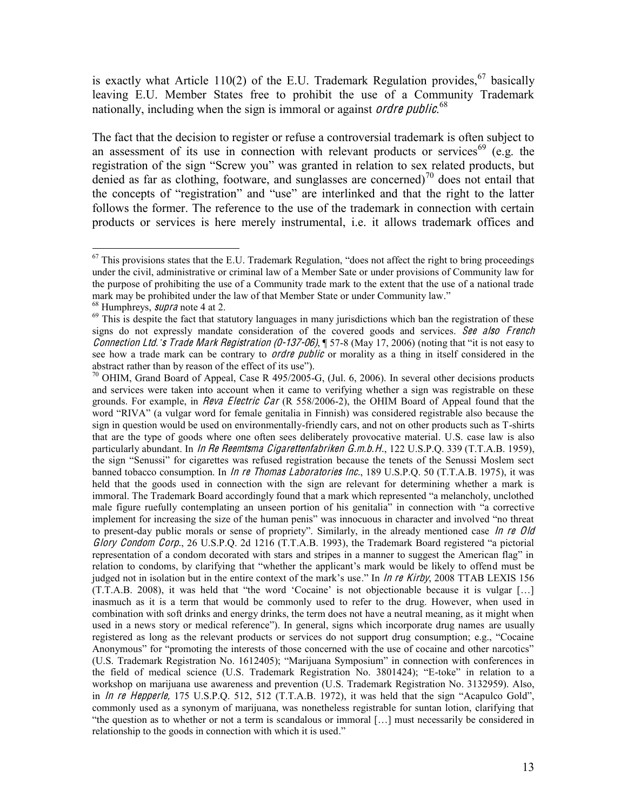is exactly what Article 110(2) of the E.U. Trademark Regulation provides,  $67$  basically leaving E.U. Member States free to prohibit the use of a Community Trademark nationally, including when the sign is immoral or against *ordre public*.<sup>68</sup>

The fact that the decision to register or refuse a controversial trademark is often subject to an assessment of its use in connection with relevant products or services<sup>69</sup> (e.g. the registration of the sign "Screw you" was granted in relation to sex related products, but denied as far as clothing, footware, and sunglasses are concerned)<sup>70</sup> does not entail that the concepts of "registration" and "use" are interlinked and that the right to the latter follows the former. The reference to the use of the trademark in connection with certain products or services is here merely instrumental, i.e. it allows trademark offices and

 $67$  This provisions states that the E.U. Trademark Regulation, "does not affect the right to bring proceedings" under the civil, administrative or criminal law of a Member Sate or under provisions of Community law for the purpose of prohibiting the use of a Community trade mark to the extent that the use of a national trade" mark may be prohibited under the law of that Member State or under Community law."<br><sup>68</sup> Humphreys, *supra* note 4 at 2.<br><sup>69</sup> This is despite the fact that statutory languages in many jurisdictions which ban the registrati

signs do not expressly mandate consideration of the covered goods and services. See also French *Connection Ltd. s* Trade Mark Registration (0-137-06), ¶ 57-8 (May 17, 2006) (noting that "it is not easy to see how a trade mark can be contrary to *ordre public* or morality as a thing in itself considered in the abstract rather than by reason of the effect of its use").

 $\frac{70}{10}$  OHIM, Grand Board of Appeal, Case R 495/2005-G, (Jul. 6, 2006). In several other decisions products and services were taken into account when it came to verifying whether a sign was registrable on these grounds. For example, in *Reva Electric Car* (R 558/2006-2), the OHIM Board of Appeal found that the word "RIVA" (a vulgar word for female genitalia in Finnish) was considered registrable also because the sign in question would be used on environmentally-friendly cars, and not on other products such as T-shirts that are the type of goods where one often sees deliberately provocative material. U.S. case law is also particularly abundant. In *In Re Reemtsma Cigarettenfabriken G.m.b.H.*, 122 U.S.P.O. 339 (T.T.A.B. 1959), the sign "Senussi" for cigarettes was refused registration because the tenets of the Senussi Moslem sect banned tobacco consumption. In *In re Thomas Laboratories Inc.*, 189 U.S.P.Q. 50 (T.T.A.B. 1975), it was held that the goods used in connection with the sign are relevant for determining whether a mark is immoral. The Trademark Board accordingly found that a mark which represented "a melancholy, unclothed male figure ruefully contemplating an unseen portion of his genitalia<sup>7</sup> in connection with "a corrective implement for increasing the size of the human penis" was innocuous in character and involved "no threat to present-day public morals or sense of propriety". Similarly, in the already mentioned case  $\ln$  re Old Glory Condom Corp., 26 U.S.P.O. 2d 1216 (T.T.A.B. 1993), the Trademark Board registered "a pictorial representation of a condom decorated with stars and stripes in a manner to suggest the American flag" in relation to condoms, by clarifying that "whether the applicant's mark would be likely to offend must be judged not in isolation but in the entire context of the mark's use." In  $\ln n$  re Kirby, 2008 TTAB LEXIS 156 (T.T.A.B. 2008), it was held that "the word 'Cocaine' is not objectionable because it is vulgar [...] inasmuch as it is a term that would be commonly used to refer to the drug. However, when used in combination with soft drinks and energy drinks, the term does not have a neutral meaning, as it might when used in a news story or medical reference"). In general, signs which incorporate drug names are usually registered as long as the relevant products or services do not support drug consumption; e.g., "Cocaine" Anonymous" for "promoting the interests of those concerned with the use of cocaine and other narcotics" (U.S. Trademark Registration No. 1612405); "Marijuana Symposium" in connection with conferences in the field of medical science (U.S. Trademark Registration No. 3801424); "E-toke" in relation to a workshop on marijuana use awareness and prevention (U.S. Trademark Registration No. 3132959). Also, in  $\ln$  re Hepperle, 175 U.S.P.Q. 512, 512 (T.T.A.B. 1972), it was held that the sign "Acapulco Gold", commonly used as a synonym of marijuana, was nonetheless registrable for suntan lotion, clarifying that "the question as to whether or not a term is scandalous or immoral  $[\ldots]$  must necessarily be considered in relationship to the goods in connection with which it is used.<sup>"</sup>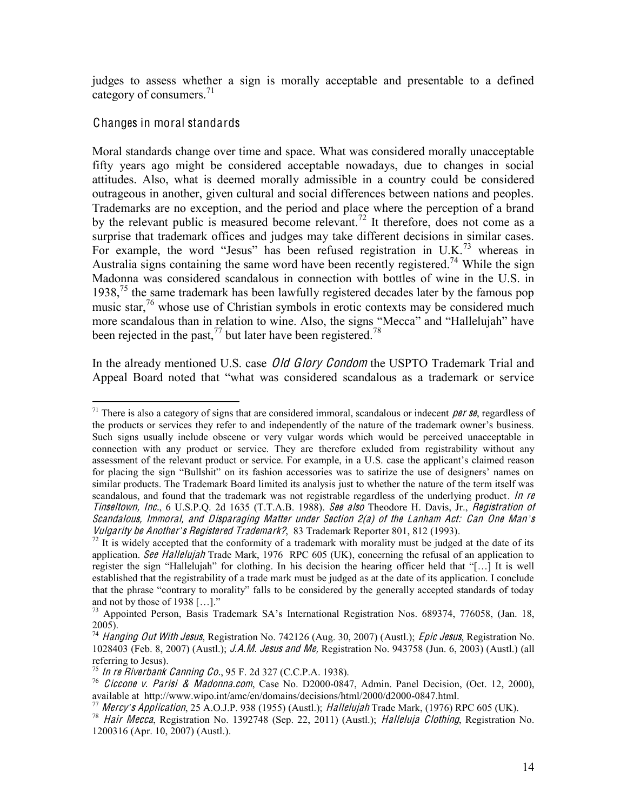judges to assess whether a sign is morally acceptable and presentable to a defined category of consumers. $^{71}$ 

#### Changes in moral standards

Moral standards change over time and space. What was considered morally unacceptable fifty years ago might be considered acceptable nowadays, due to changes in social attitudes. Also, what is deemed morally admissible in a country could be considered outrageous in another, given cultural and social differences between nations and peoples. Trademarks are no exception, and the period and place where the perception of a brand by the relevant public is measured become relevant.<sup>72</sup> It therefore, does not come as a surprise that trademark offices and judges may take different decisions in similar cases. For example, the word "Jesus" has been refused registration in U.K.<sup>73</sup> whereas in Australia signs containing the same word have been recently registered.<sup>74</sup> While the sign Madonna was considered scandalous in connection with bottles of wine in the U.S. in 1938,<sup>75</sup> the same trademark has been lawfully registered decades later by the famous pop music star,  $^{76}$  whose use of Christian symbols in erotic contexts may be considered much more scandalous than in relation to wine. Also, the signs "Mecca" and "Hallelujah" have been rejected in the past,<sup>77</sup> but later have been registered.<sup>78</sup>

In the already mentioned U.S. case *Old Glory Condom* the USPTO Trademark Trial and Appeal Board noted that "what was considered scandalous as a trademark or service

<sup>&</sup>lt;sup>71</sup> There is also a category of signs that are considered immoral, scandalous or indecent *per se*, regardless of the products or services they refer to and independently of the nature of the trademark owner's business. Such signs usually include obscene or very vulgar words which would be perceived unacceptable in connection with any product or service. They are therefore exluded from registrability without any assessment of the relevant product or service. For example, in a U.S. case the applicant's claimed reason for placing the sign "Bullshit" on its fashion accessories was to satirize the use of designers' names on similar products. The Trademark Board limited its analysis just to whether the nature of the term itself was scandalous, and found that the trademark was not registrable regardless of the underlying product. In re Tinseltown, Inc., 6 U.S.P.Q. 2d 1635 (T.T.A.B. 1988). See als<sup>o</sup> Theodore H. Davis, Jr., Registration <sup>o</sup>f Scandalous, Immoral, and Disparaging Matter under Section 2(a) of the Lanham Act: Can One Man's<br>Vulgarity be Another's Registered Trademark?, 83 Trademark Reporter 801, 812 (1993).

<sup>&</sup>lt;sup>72</sup> It is widely accepted that the conformity of a trademark with morality must be judged at the date of its application. See Hallelujah Trade Mark, 1976 RPC 605 (UK), concerning the refusal of an application to register the sign "Hallelujah" for clothing. In his decision the hearing officer held that "[...] It is well established that the registrability of a trade mark must be judged as at the date of its application. I conclude that the phrase "contrary to morality" falls to be considered by the generally accepted standards of today and not by those of 1938 [...]."<br><sup>73</sup> Appointed Person, Basis Trademark SA's International Registration Nos. 689374, 776058, (Jan. 18,

<sup>2005).</sup>

<sup>&</sup>lt;sup>74</sup> Hanging Out With Jesus, Registration No. 742126 (Aug. 30, 2007) (Austl.); *Epic Jesus*, Registration No. 1028403 (Feb. 8, 2007) (Austl.); J.A.M. Jesu<sup>s</sup> and Me, Registration No. 943758 (Jun. 6, 2003) (Austl.) (all referring to Jesus).<br> $^{75}$  In re Riverbank Canning Co., 95 F. 2d 327 (C.C.P.A. 1938).

<sup>&</sup>lt;sup>76</sup> Ciccone v. Parisi & Madonna.com, Case No. D2000-0847, Admin. Panel Decision, (Oct. 12, 2000),

available at http://www.wipo.int/amc/en/domains/decisions/html/2000/d2000-0847.html.<br><sup>77</sup> Mercy's Application, 25 A.O.J.P. 938 (1955) (Austl.); *Hallelujah* Trade Mark, (1976) RPC 605 (UK).<br><sup>78</sup> Hair Mecca, Registration No 1200316 (Apr. 10, 2007) (Austl.).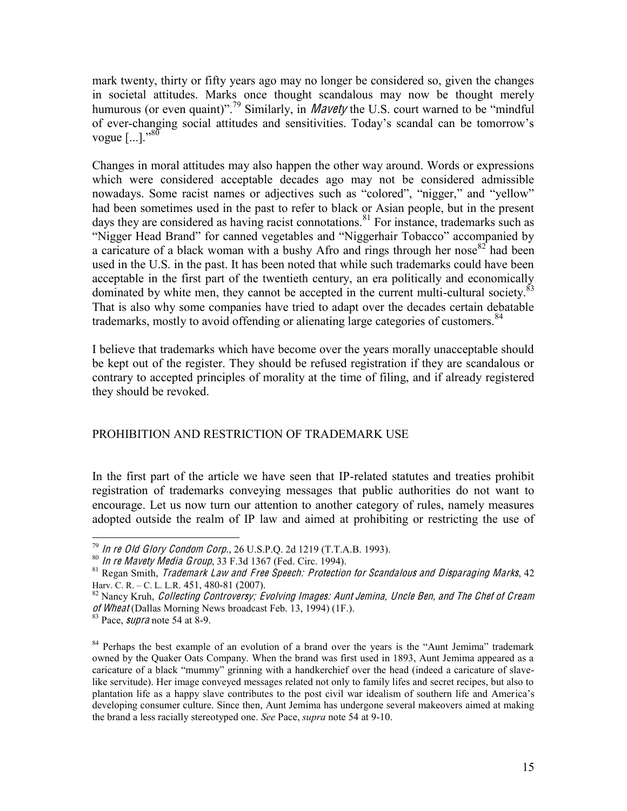mark twenty, thirty or fifty years ago may no longer be considered so, given the changes in societal attitudes. Marks once thought scandalous may now be thought merely humurous (or even quaint)".<sup>79</sup> Similarly, in *Mavety* the U.S. court warned to be "mindful" of ever-changing social attitudes and sensitivities. Today's scandal can be tomorrow's vogue  $[...]$ .<sup>80</sup>

Changes in moral attitudes may also happen the other way around. Words or expressions which were considered acceptable decades ago may not be considered admissible nowadays. Some racist names or adjectives such as "colored", "nigger," and "yellow" had been sometimes used in the past to refer to black or Asian people, but in the present days they are considered as having racist connotations.<sup>81</sup> For instance, trademarks such as "Nigger Head Brand" for canned vegetables and "Niggerhair Tobacco" accompanied by a caricature of a black woman with a bushy Afro and rings through her nose  $82^{\circ}$  had been used in the U.S. in the past. It has been noted that while such trademarks could have been acceptable in the first part of the twentieth century, an era politically and economically dominated by white men, they cannot be accepted in the current multi-cultural society. $^{83}$ That is also why some companies have tried to adapt over the decades certain debatable trademarks, mostly to avoid offending or alienating large categories of customers.<sup>84</sup>

I believe that trademarks which have become over the years morally unacceptable should be kept out of the register. They should be refused registration if they are scandalous or contrary to accepted principles of morality at the time of filing, and if already registered they should be revoked.

#### PROHIBITION AND RESTRICTION OF TRADEMARK USE

In the first part of the article we have seen that IP-related statutes and treaties prohibit registration of trademarks conveying messages that public authorities do not want to encourage. Let us now turn our attention to another category of rules, namely measures adopted outside the realm of IP law and aimed at prohibiting or restricting the use of

<sup>&</sup>lt;sup>79</sup> In re Old Glory Condom Corp., 26 U.S.P.Q. 2d 1219 (T.T.A.B. 1993).<br><sup>80</sup> In re Mavety Media Group, 33 F.3d 1367 (Fed. Circ. 1994).<br><sup>81</sup> Regan Smith, *Trademark Law and Free Speech: Protection for Scandalous and Dispar* 

 $82$  Nancy Kruh, Collecting Controversy; Evolving Images: Aunt Jemina, Uncle Ben, and The Chef of Cream of Wheat (Dallas Morning News broadcast Feb. 13, 1994) (1F.).<br><sup>83</sup> Pace, *supra* note 54 at 8-9.

<sup>&</sup>lt;sup>84</sup> Perhaps the best example of an evolution of a brand over the years is the "Aunt Jemima" trademark owned by the Quaker Oats Company. When the brand was first used in 1893, Aunt Jemima appeared as a caricature of a black "mummy" grinning with a handkerchief over the head (indeed a caricature of slavelike servitude). Her image conveyed messages related not only to family lifes and secret recipes, but also to plantation life as a happy slave contributes to the post civil war idealism of southern life and America's developing consumer culture. Since then, Aunt Jemima has undergone several makeovers aimed at making the brand a less racially stereotyped one. *See* Pace, *supra* note 54 at 9-10.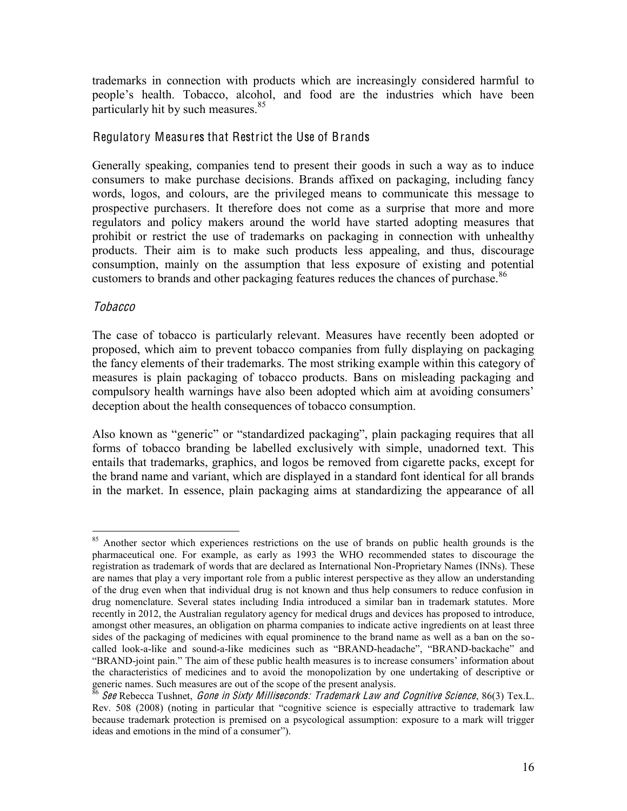trademarks in connection with products which are increasingly considered harmful to people's health. Tobacco, alcohol, and food are the industries which have been particularly hit by such measures.<sup>85</sup>

#### Regulatory Measures that Restrict the Use of Brands

Generally speaking, companies tend to present their goods in such a way as to induce consumers to make purchase decisions. Brands affixed on packaging, including fancy words, logos, and colours, are the privileged means to communicate this message to prospective purchasers. It therefore does not come as a surprise that more and more regulators and policy makers around the world have started adopting measures that prohibit or restrict the use of trademarks on packaging in connection with unhealthy products. Their aim is to make such products less appealing, and thus, discourage consumption, mainly on the assumption that less exposure of existing and potential customers to brands and other packaging features reduces the chances of purchase.<sup>86</sup>

#### Tobacco

The case of tobacco is particularly relevant. Measures have recently been adopted or proposed, which aim to prevent tobacco companies from fully displaying on packaging the fancy elements of their trademarks. The most striking example within this category of measures is plain packaging of tobacco products. Bans on misleading packaging and compulsory health warnings have also been adopted which aim at avoiding consumers' deception about the health consequences of tobacco consumption.

Also known as "generic" or "standardized packaging", plain packaging requires that all forms of tobacco branding be labelled exclusively with simple, unadorned text. This entails that trademarks, graphics, and logos be removed from cigarette packs, except for the brand name and variant, which are displayed in a standard font identical for all brands in the market. In essence, plain packaging aims at standardizing the appearance of all

<sup>&</sup>lt;sup>85</sup> Another sector which experiences restrictions on the use of brands on public health grounds is the pharmaceutical one. For example, as early as 1993 the WHO recommended states to discourage the registration as trademark of words that are declared as International Non-Proprietary Names (INNs). These are names that play a very important role from a public interest perspective as they allow an understanding of the drug even when that individual drug is not known and thus help consumers to reduce confusion in drug nomenclature. Several states including India introduced a similar ban in trademark statutes. More recently in 2012, the Australian regulatory agency for medical drugs and devices has proposed to introduce, amongst other measures, an obligation on pharma companies to indicate active ingredients on at least three sides of the packaging of medicines with equal prominence to the brand name as well as a ban on the socalled look-a-like and sound-a-like medicines such as "BRAND-headache", "BRAND-backache" and "BRAND-joint pain." The aim of these public health measures is to increase consumers' information about the characteristics of medicines and to avoid the monopolization by one undertaking of descriptive or generic names. Such measures are out of the scope of the present analysis.

 $^{86}$  See Rebecca Tushnet, Gone in Sixty Milliseconds: Trademark Law and Cognitive Science, 86(3) Tex.L. Rev. 508 (2008) (noting in particular that "cognitive science is especially attractive to trademark law because trademark protection is premised on a psycological assumption: exposure to a mark will trigger ideas and emotions in the mind of a consumer").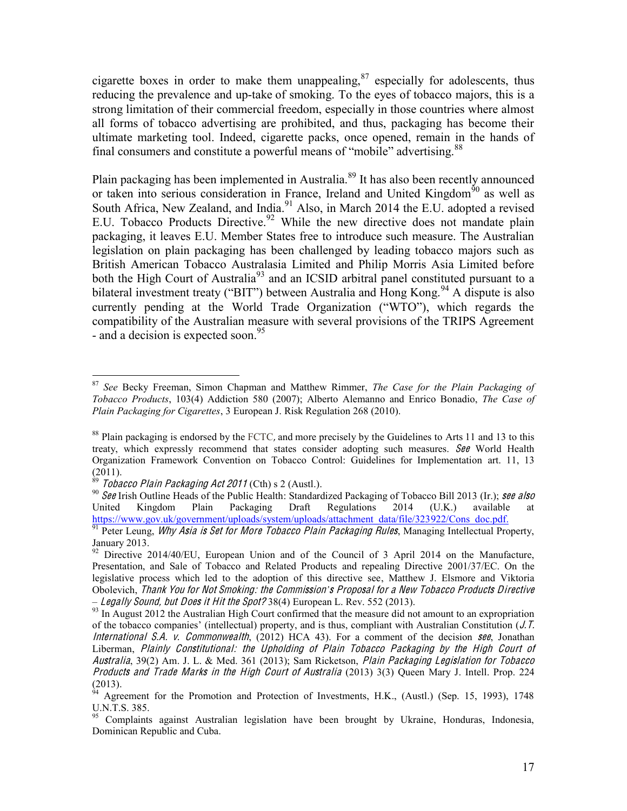cigarette boxes in order to make them unappealing, $87$  especially for adolescents, thus reducing the prevalence and up-take of smoking. To the eyes of tobacco majors, this is a strong limitation of their commercial freedom, especially in those countries where almost all forms of tobacco advertising are prohibited, and thus, packaging has become their ultimate marketing tool. Indeed, cigarette packs, once opened, remain in the hands of final consumers and constitute a powerful means of "mobile" advertising.<sup>88</sup>

Plain packaging has been implemented in Australia.<sup>89</sup> It has also been recently announced or taken into serious consideration in France, Ireland and United Kingdom<sup> $50$ </sup> as well as South Africa, New Zealand, and India.<sup>91</sup> Also, in March 2014 the E.U. adopted a revised E.U. Tobacco Products Directive.<sup>92</sup> While the new directive does not mandate plain packaging, it leaves E.U. Member States free to introduce such measure. The Australian legislation on plain packaging has been challenged by leading tobacco majors such as British American Tobacco Australasia Limited and Philip Morris Asia Limited before both the High Court of Australia<sup>93</sup> and an ICSID arbitral panel constituted pursuant to a bilateral investment treaty ("BIT") between Australia and Hong Kong.<sup>94</sup> A dispute is also currently pending at the World Trade Organization ("WTO"), which regards the compatibility of the Australian measure with several provisions of the TRIPS Agreement - and a decision is expected soon.<sup>95</sup>

<sup>&</sup>lt;sup>87</sup> See Becky Freeman, Simon Chapman and Matthew Rimmer, *The Case for the Plain Packaging of Tobacco Products*, 103(4) Addiction 580 (2007); Alberto Alemanno and Enrico Bonadio, The Case of *Plain Packaging for Cigarettes, 3 European J. Risk Regulation 268 (2010).* 

 $88$  Plain packaging is endorsed by the FCTC, and more precisely by the Guidelines to Arts 11 and 13 to this treaty, which expressly recommend that states consider adopting such measures. See World Health Organization Framework Convention on Tobacco Control: Guidelines for Implementation art. 11, 13

<sup>(2011).&</sup>lt;br><sup>89</sup> *Tobacco Plain Packaging Act 2011* (Cth) s 2 (Austl.).<br><sup>90</sup> *See* Irish Outline Heads of the Public Health: Standardized Packaging of Tobacco Bill 2013 (Ir.); *see also* United Kingdom Plain Packaging Draft Regulations 2014 (U.K.) available at https://www.gov.uk/government/uploads/system/uploads/attachment data/file/323922/Cons doc.pdf.

<sup>&</sup>lt;sup>91</sup> Peter Leung, *Why Asia is Set for More Tobacco Plain Packaging Rules*, Managing Intellectual Property, January 2013.

<sup>&</sup>lt;sup>92</sup> Directive 2014/40/EU, European Union and of the Council of 3 April 2014 on the Manufacture, Presentation, and Sale of Tobacco and Related Products and repealing Directive 2001/37/EC. On the legislative process which led to the adoption of this directive see, Matthew J. Elsmore and Viktoria Obolevich, *Thank You for Not Smoking: the Commission's Proposal for a New Tobacco Products Directive*<br>- Legally Sound, but Does it Hit the Spot? 38(4) European L. Rev. 552 (2013).

<sup>&</sup>lt;sup>93</sup> In August 2012 the Australian High Court confirmed that the measure did not amount to an expropriation of the tobacco companies' (intellectual) property, and is thus, compliant with Australian Constitution ( $J$ .  $T$ . International S.A. v. Commonwealth, (2012) HCA 43). For a comment of the decision see, Jonathan Liberman, Plainly Constitutional: <sup>t</sup>h<sup>e</sup> Upholding <sup>o</sup>f Plain Tobacc<sup>o</sup> Packaging by <sup>t</sup>h<sup>e</sup> High Cour<sup>t</sup> <sup>o</sup>f Australia, 39(2) Am. J. L. & Med. 361 (2013); Sam Ricketson, Plain Packaging Legislation for Tobacc<sup>o</sup> Products and Trad<sup>e</sup> Mark<sup>s</sup> in <sup>t</sup>h<sup>e</sup> High Cour<sup>t</sup> <sup>o</sup>f Australia (2013) 3(3) Queen Mary J. Intell. Prop. 224

 $(2013)$ .<br><sup>94</sup> Agreement for the Promotion and Protection of Investments, H.K., (Austl.) (Sep. 15, 1993), 1748 U.N.T.S. 385.

<sup>&</sup>lt;sup>95</sup> Complaints against Australian legislation have been brought by Ukraine, Honduras, Indonesia, Dominican Republic and Cuba.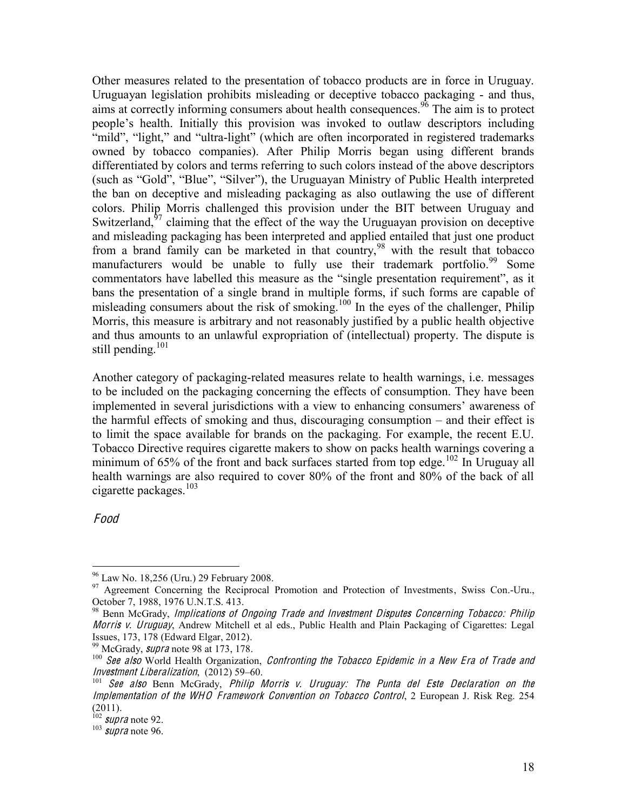Other measures related to the presentation of tobacco products are in force in Uruguay. Uruguayan legislation prohibits misleading or deceptive tobacco packaging - and thus, aims at correctly informing consumers about health consequences.  $\frac{96}{6}$  The aim is to protect people's health. Initially this provision was invoked to outlaw descriptors including "mild", "light," and "ultra-light" (which are often incorporated in registered trademarks owned by tobacco companies). After Philip Morris began using different brands differentiated by colors and terms referring to such colors instead of the above descriptors (such as "Gold", "Blue", "Silver"), the Uruguayan Ministry of Public Health interpreted the ban on deceptive and misleading packaging as also outlawing the use of different colors. Philip Morris challenged this provision under the BIT between Uruguay and Switzerland, $97$  claiming that the effect of the way the Uruguayan provision on deceptive and misleading packaging has been interpreted and applied entailed that just one product from a brand family can be marketed in that country,<sup>98</sup> with the result that tobacco manufacturers would be unable to fully use their trademark portfolio.<sup>99</sup> Some commentators have labelled this measure as the "single presentation requirement", as it bans the presentation of a single brand in multiple forms, if such forms are capable of misleading consumers about the risk of smoking.<sup>100</sup> In the eyes of the challenger, Philip Morris, this measure is arbitrary and not reasonably justified by a public health objective and thus amounts to an unlawful expropriation of (intellectual) property. The dispute is still pending. $101$ 

Another category of packaging-related measures relate to health warnings, i.e. messages to be included on the packaging concerning the effects of consumption. They have been implemented in several jurisdictions with a view to enhancing consumers' awareness of the harmful effects of smoking and thus, discouraging consumption  $-\$  and their effect is to limit the space available for brands on the packaging. For example, the recent E.U. Tobacco Directive requires cigarette makers to show on packs health warnings covering a minimum of 65% of the front and back surfaces started from top edge.<sup>102</sup> In Uruguay all health warnings are also required to cover 80% of the front and 80% of the back of all cigarette packages. $103$ 

Food

<sup>&</sup>lt;sup>96</sup> Law No. 18,256 (Uru.) 29 February 2008.<br><sup>97</sup> Agreement Concerning the Reciprocal Promotion and Protection of Investments, Swiss Con.-Uru., October 7, 1988, 1976 U.N.T.S. 413.

<sup>&</sup>lt;sup>98</sup> Benn McGrady, Implications of Ongoing Trade and Investment Disputes Concerning Tobacco: Philip Morri<sup>s</sup> <sup>v</sup>. Uruguay, Andrew Mitchell et al eds., Public Health and Plain Packaging of Cigarettes: Legal

Issues, 173, 178 (Edward Elgar, 2012).<br><sup>99</sup> McGrady, *supra* note 98 at 173, 178.<br><sup>100</sup> See also World Health Organization, *Confronting the Tobacco Epidemic in a New Era of Trade and*<br>*Investment Liberalization*, (2012) 5

 $101$  See also Benn McGrady, Philip Morris v. Uruguay: The Punta del Este Declaration on the Implementation of the WHO Framework Convention on Tobacco Control, 2 European J. Risk Reg. 254  $(2011).$ <sup>102</sup> *supra* note 92.

 $103$  supra note 96.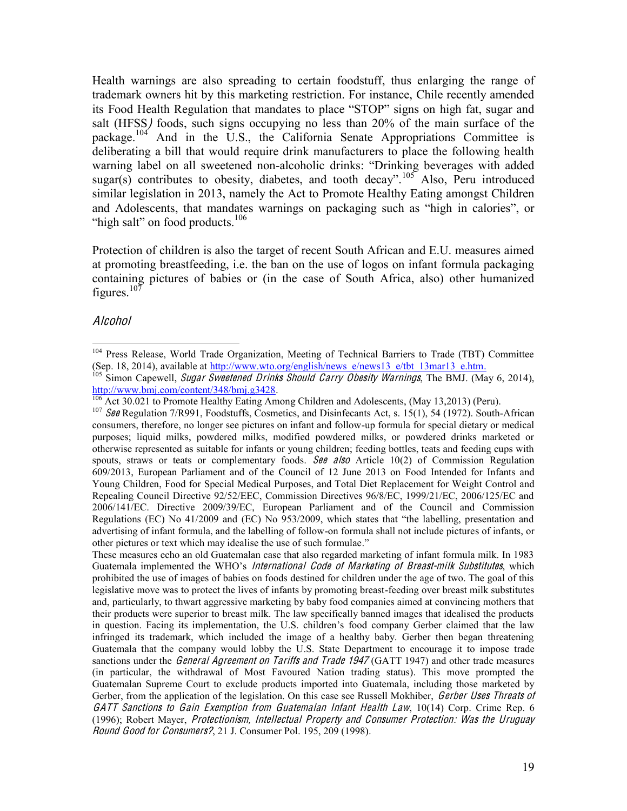Health warnings are also spreading to certain foodstuff, thus enlarging the range of trademark owners hit by this marketing restriction. For instance, Chile recently amended its Food Health Regulation that mandates to place "STOP" signs on high fat, sugar and salt (HFSS) foods, such signs occupying no less than 20% of the main surface of the package.<sup>104</sup> And in the U.S., the California Senate Appropriations Committee is deliberating a bill that would require drink manufacturers to place the following health warning label on all sweetened non-alcoholic drinks: "Drinking beverages with added sugar(s) contributes to obesity, diabetes, and tooth decay".<sup>105</sup> Also, Peru introduced similar legislation in 2013, namely the Act to Promote Healthy Eating amongst Children and Adolescents, that mandates warnings on packaging such as "high in calories", or "high salt" on food products. $106$ 

Protection of children is also the target of recent South African and E.U. measures aimed at promoting breastfeeding, i.e. the ban on the use of logos on infant formula packaging containing pictures of babies or (in the case of South Africa, also) other humanized figures.<sup>107</sup>

#### Alcohol

<sup>&</sup>lt;sup>104</sup> Press Release, World Trade Organization, Meeting of Technical Barriers to Trade (TBT) Committee (Sep. 18, 2014), available at  $\frac{http://www.wto.org/english/news e/news13 e/tbt 13mar13 e.htm}{http://www.wto.org/english/news e/news13 e/tbt 13mar13 e.htm}$ .

<sup>&</sup>lt;sup>tos</sup> Simon Capewell, *Sugar Sweetened Drinks Should Carry Obesity Warnings*, The BMJ. (May 6, 2014), http://www.bmj.com/content/348/bmj.g3428.

 $\frac{106}{106}$  Act 30.021 to Promote Healthy Eating Among Children and Adolescents, (May 13,2013) (Peru).<br><sup>107</sup> See Regulation 7/R991, Foodstuffs, Cosmetics, and Disinfecants Act, s. 15(1), 54 (1972). South-African consumers, therefore, no longer see pictures on infant and follow-up formula for special dietary or medical purposes; liquid milks, powdered milks, modified powdered milks, or powdered drinks marketed or otherwise represented as suitable for infants or young children; feeding bottles, teats and feeding cups with spouts, straws or teats or complementary foods. See also Article 10(2) of Commission Regulation 609/2013, European Parliament and of the Council of 12 June 2013 on Food Intended for Infants and Young Children, Food for Special Medical Purposes, and Total Diet Replacement for Weight Control and Repealing Council Directive 92/52/EEC, Commission Directives 96/8/EC, 1999/21/EC, 2006/125/EC and 2006/141/EC. Directive 2009/39/EC, European Parliament and of the Council and Commission Regulations (EC) No  $41/2009$  and (EC) No  $953/2009$ , which states that "the labelling, presentation and advertising of infant formula, and the labelling of follow-on formula shall not include pictures of infants, or other pictures or text which may idealise the use of such formulae."

These measures echo an old Guatemalan case that also regarded marketing of infant formula milk. In 1983 Guatemala implemented the WHO's International Code of Marketing of Breast-milk Substitutes, which prohibited the use of images of babies on foods destined for children under the age of two. The goal of this legislative move was to protect the lives of infants by promoting breast-feeding over breast milk substitutes and, particularly, to thwart aggressive marketing by baby food companies aimed at convincing mothers that their products were superior to breast milk. The law specifically banned images that idealised the products in question. Facing its implementation, the U.S. children's food company Gerber claimed that the law infringed its trademark, which included the image of a healthy baby. Gerber then began threatening Guatemala that the company would lobby the U.S. State Department to encourage it to impose trade sanctions under the *General Agreement on Tariffs and Trade 1947* (GATT 1947) and other trade measures (in particular, the withdrawal of Most Favoured Nation trading status). This move prompted the Guatemalan Supreme Court to exclude products imported into Guatemala, including those marketed by Gerber, from the application of the legislation. On this case see Russell Mokhiber, *Gerber Uses Threats of* GATT Sanction<sup>s</sup> <sup>t</sup><sup>o</sup> Gain Exemption fro<sup>m</sup> Guatemalan Infan<sup>t</sup> Health Law, 10(14) Corp. Crime Rep. 6 (1996); Robert Mayer, Protectionism, Intellectual Property and Consumer Protection: Was the Uruguay Round Good for Consumers?, 21 J. Consumer Pol. 195, 209 (1998).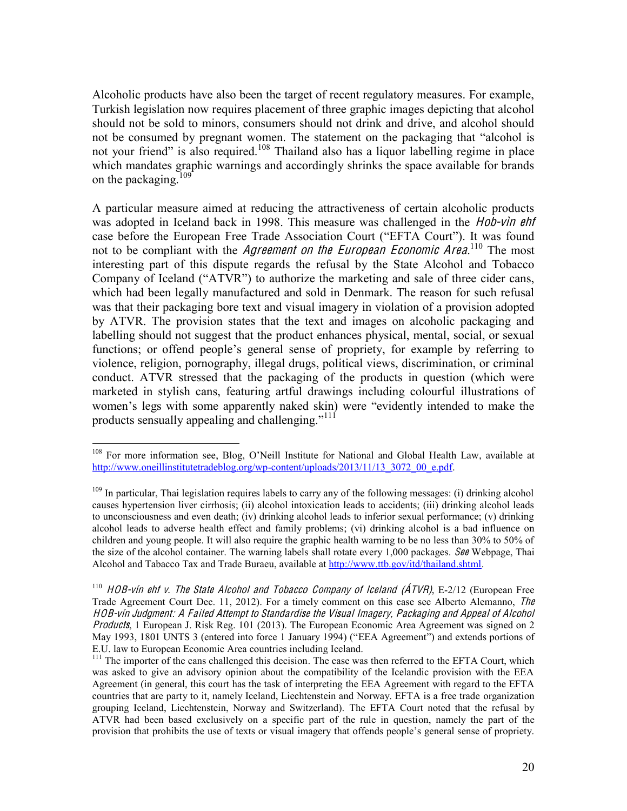Alcoholic products have also been the target of recent regulatory measures. For example, Turkish legislation now requires placement of three graphic images depicting that alcohol should not be sold to minors, consumers should not drink and drive, and alcohol should not be consumed by pregnant women. The statement on the packaging that "alcohol is not your friend" is also required.<sup>108</sup> Thailand also has a liquor labelling regime in place which mandates graphic warnings and accordingly shrinks the space available for brands on the packaging.<sup>109</sup>

A particular measure aimed at reducing the attractiveness of certain alcoholic products was adopted in Iceland back in 1998. This measure was challenged in the *Hob-vin ehf* case before the European Free Trade Association Court ("EFTA Court"). It was found not to be compliant with the *Agreement on the European Economic Area*.<sup>110</sup> The most interesting part of this dispute regards the refusal by the State Alcohol and Tobacco Company of Iceland ("ATVR") to authorize the marketing and sale of three cider cans, which had been legally manufactured and sold in Denmark. The reason for such refusal was that their packaging bore text and visual imagery in violation of a provision adopted by ATVR. The provision states that the text and images on alcoholic packaging and labelling should not suggest that the product enhances physical, mental, social, or sexual functions; or offend people's general sense of propriety, for example by referring to violence, religion, pornography, illegal drugs, political views, discrimination, or criminal conduct. ATVR stressed that the packaging of the products in question (which were marketed in stylish cans, featuring artful drawings including colourful illustrations of women's legs with some apparently naked skin) were "evidently intended to make the products sensually appealing and challenging."<sup>111</sup>

<sup>&</sup>lt;sup>108</sup> For more information see, Blog, O'Neill Institute for National and Global Health Law, available at http://www.oneillinstitutetradeblog.org/wp-content/uploads/2013/11/13\_3072\_00\_e.pdf.

 $109$  In particular, Thai legislation requires labels to carry any of the following messages: (i) drinking alcohol causes hypertension liver cirrhosis; (ii) alcohol intoxication leads to accidents; (iii) drinking alcohol leads to unconsciousness and even death; (iv) drinking alcohol leads to inferior sexual performance; (v) drinking alcohol leads to adverse health effect and family problems; (vi) drinking alcohol is a bad influence on children and young people. It will also require the graphic health warning to be no less than 30% to 50% of the size of the alcohol container. The warning labels shall rotate every 1,000 packages. See Webpage, Thai Alcohol and Tabacco Tax and Trade Buraeu, available at http://www.ttb.gov/itd/thailand.shtml.

 $110$  HOB-vín ehf v. The State Alcohol and Tobacco Company of Iceland ( $\angle$ ATVR), E-2/12 (European Free Trade Agreement Court Dec. 11, 2012). For a timely comment on this case see Alberto Alemanno, The HOB-vín Judgment: A F ailed Attempt t<sup>o</sup> Standardis<sup>e</sup> th<sup>e</sup> Visual Imagery, Packaging and Appeal <sup>o</sup>f Alcohol Products, 1 European J. Risk Reg. 101 (2013). The European Economic Area Agreement was signed on 2 May 1993, 1801 UNTS 3 (entered into force 1 January 1994) ("EEA Agreement") and extends portions of E.U. law to European Economic Area countries including Iceland.

<sup>&</sup>lt;sup>111</sup> The importer of the cans challenged this decision. The case was then referred to the EFTA Court, which was asked to give an advisory opinion about the compatibility of the Icelandic provision with the EEA Agreement (in general, this court has the task of interpreting the EEA Agreement with regard to the EFTA countries that are party to it, namely Iceland, Liechtenstein and Norway. EFTA is a free trade organization grouping Iceland, Liechtenstein, Norway and Switzerland). The EFTA Court noted that the refusal by ATVR had been based exclusively on a specific part of the rule in question, namely the part of the provision that prohibits the use of texts or visual imagery that offends people's general sense of propriety.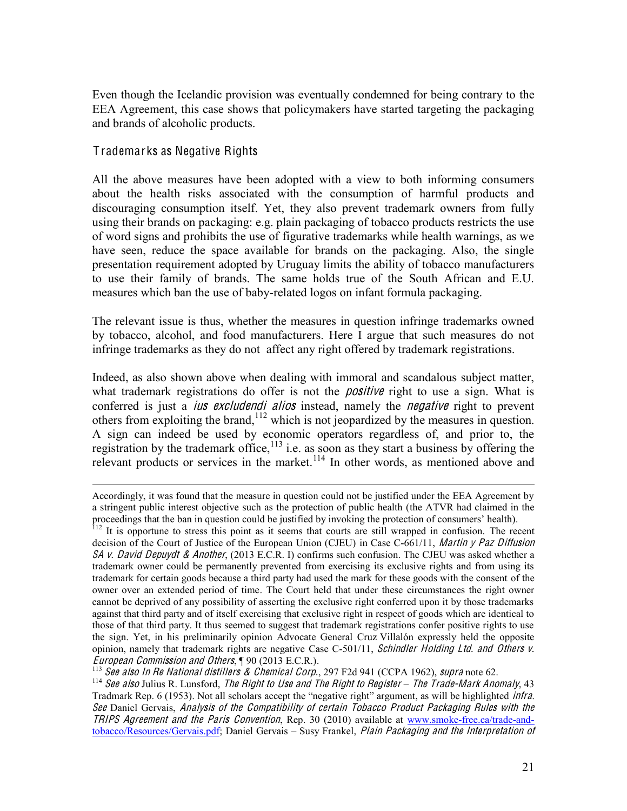Even though the Icelandic provision was eventually condemned for being contrary to the EEA Agreement, this case shows that policymakers have started targeting the packaging and brands of alcoholic products.

#### T rademarks as Negative Rights

All the above measures have been adopted with a view to both informing consumers about the health risks associated with the consumption of harmful products and discouraging consumption itself. Yet, they also prevent trademark owners from fully using their brands on packaging: e.g. plain packaging of tobacco products restricts the use of word signs and prohibits the use of figurative trademarks while health warnings, as we have seen, reduce the space available for brands on the packaging. Also, the single presentation requirement adopted by Uruguay limits the ability of tobacco manufacturers to use their family of brands. The same holds true of the South African and E.U. measures which ban the use of baby-related logos on infant formula packaging.

The relevant issue is thus, whether the measures in question infringe trademarks owned by tobacco, alcohol, and food manufacturers. Here I argue that such measures do not infringe trademarks as they do not affect any right offered by trademark registrations.

Indeed, as also shown above when dealing with immoral and scandalous subject matter, what trademark registrations do offer is not the *positive* right to use a sign. What is conferred is just a *ius excludendi alios* instead, namely the *negative* right to prevent others from exploiting the brand,<sup> $112$ </sup> which is not jeopardized by the measures in question. A sign can indeed be used by economic operators regardless of, and prior to, the registration by the trademark office,  $^{113}$  i.e. as soon as they start a business by offering the relevant products or services in the market.<sup>114</sup> In other words, as mentioned above and

*European Commission and Others*,  $\P$  90 (2013 E.C.R.).<br><sup>113</sup> See also In Re National distillers & Chemical Corp., 297 F2d 941 (CCPA 1962), supra note 62.<br><sup>114</sup> See also Julius R. Lunsford, *The Right to Use and The Right* 

Accordingly, it was found that the measure in question could not be justified under the EEA Agreement by a stringent public interest objective such as the protection of public health (the ATVR had claimed in the proceedings that the ban in question could be justified by invoking the protection of consumers' health).<br><sup>112</sup> It is opportune to stress this point as it seems that courts are still wrapped in confusion. The recent

decision of the Court of Justice of the European Union (CJEU) in Case C-661/11, Martin y Paz Diffusion SA v. David Depuydt & Another, (2013 E.C.R. I) confirms such confusion. The CJEU was asked whether a trademark owner could be permanently prevented from exercising its exclusive rights and from using its trademark for certain goods because a third party had used the mark for these goods with the consent of the owner over an extended period of time. The Court held that under these circumstances the right owner cannot be deprived of any possibility of asserting the exclusive right conferred upon it by those trademarks against that third party and of itself exercising that exclusive right in respect of goods which are identical to those of that third party. It thus seemed to suggest that trademark registrations confer positive rights to use the sign. Yet, in his preliminarily opinion Advocate General Cruz Villalón expressly held the opposite opinion, namely that trademark rights are negative Case C-501/11, Schindler Holding Ltd. and Others v.

Tradmark Rep. 6 (1953). Not all scholars accept the "negative right" argument, as will be highlighted *infra*. See Daniel Gervais, Analysi<sup>s</sup> <sup>o</sup>f <sup>t</sup>h<sup>e</sup> Compatibility <sup>o</sup>f certain Tobacc<sup>o</sup> Produc<sup>t</sup> Packaging Rule<sup>s</sup> with <sup>t</sup>h<sup>e</sup> TRIPS Agreement and the Paris Convention, Rep. 30 (2010) available at www.smoke-free.ca/trade-andtobacco/Resources/Gervais.pdf; Daniel Gervais - Susy Frankel, Plain Packaging and the Interpretation of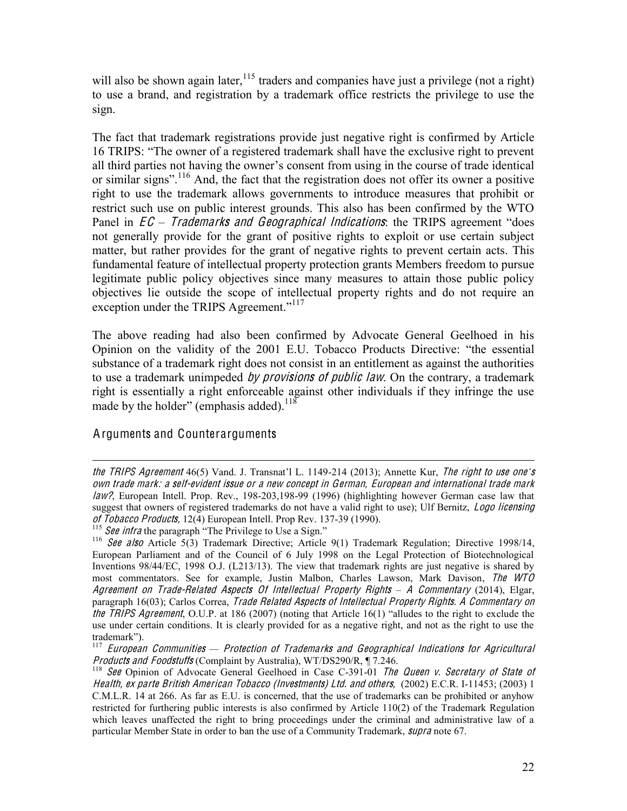will also be shown again later,  $115$  traders and companies have just a privilege (not a right) to use a brand, and registration by a trademark office restricts the privilege to use the sign.

The fact that trademark registrations provide just negative right is confirmed by Article 16 TRIPS: "The owner of a registered trademark shall have the exclusive right to prevent all third parties not having the owner's consent from using in the course of trade identical or similar signs".<sup>116</sup> And, the fact that the registration does not offer its owner a positive right to use the trademark allows governments to introduce measures that prohibit or restrict such use on public interest grounds. This also has been confirmed by the WTO Panel in *EC – Trademarks and Geographical Indications*: the TRIPS agreement "does" not generally provide for the grant of positive rights to exploit or use certain subject matter, but rather provides for the grant of negative rights to prevent certain acts. This fundamental feature of intellectual property protection grants Members freedom to pursue legitimate public policy objectives since many measures to attain those public policy objectives lie outside the scope of intellectual property rights and do not require an exception under the TRIPS Agreement."<sup>117</sup>

The above reading had also been confirmed by Advocate General Geelhoed in his Opinion on the validity of the 2001 E.U. Tobacco Products Directive: "the essential substance of a trademark right does not consist in an entitlement as against the authorities to use a trademark unimpeded *by provisions of public law*. On the contrary, a trademark right is essentially a right enforceable against other individuals if they infringe the use made by the holder" (emphasis added).<sup>118</sup>

#### Arguments and Counterarguments

 $\overline{a}$ 

the TRIPS Agreement  $46(5)$  Vand. J. Transnat'l L. 1149-214 (2013); Annette Kur, The right to use one's own trad<sup>e</sup> <sup>m</sup>ark: <sup>a</sup> <sup>s</sup>elf-evident issu<sup>e</sup> or <sup>a</sup> <sup>n</sup>e<sup>w</sup> <sup>c</sup>oncept in German, Europ<sup>e</sup>an and international trad<sup>e</sup> <sup>m</sup>ark law?, European Intell. Prop. Rev., 198-203,198-99 (1996) (highlighting however German case law that suggest that owners of registered trademarks do not have a valid right to use); Ulf Bernitz, Logo licensing of Tobacco Products, 12(4) European Intell. Prop Rev. 137-39 (1990).<br><sup>115</sup> See infra the paragraph "The Privilege to Use a Sign."<br><sup>116</sup> See also Article 5(3) Trademark Directive; Article 9(1) Trademark Regulation; Directi

European Parliament and of the Council of 6 July 1998 on the Legal Protection of Biotechnological Inventions 98/44/EC, 1998 O.J. (L213/13). The view that trademark rights are just negative is shared by most commentators. See for example, Justin Malbon, Charles Lawson, Mark Davison, Th<sup>e</sup> WTO Agreement on Trade-Related Aspects Of Intellectual Property Rights - A Commentary (2014), Elgar, paragraph 16(03); Carlos Correa, Trade Related Aspects of Intellectual Property Rights. A Commentary on the TRIPS Agreement, O.U.P. at 186 (2007) (noting that Article 16(1) "alludes to the right to exclude the use under certain conditions. It is clearly provided for as a negative right, and not as the right to use the trademark").

<sup>&</sup>lt;sup>117</sup> European Communities – Protection of Trademarks and Geographical Indications for Agricultural Products and Foodstuffs (Complaint by Australia), WT/DS290/R, ¶ 7.246.<br><sup>118</sup> See Opinion of Advocate General Geelhoed in Case C-391-01 The Queen v. Secretary of State of

Health, <sup>e</sup><sup>x</sup> part<sup>e</sup> British American Tobacc<sup>o</sup> (Investments) Ltd. and <sup>o</sup>thers, (2002) E.C.R. I-11453; (2003) 1 C.M.L.R. 14 at 266. As far as E.U. is concerned, that the use of trademarks can be prohibited or anyhow restricted for furthering public interests is also confirmed by Article 110(2) of the Trademark Regulation which leaves unaffected the right to bring proceedings under the criminal and administrative law of a particular Member State in order to ban the use of a Community Trademark, *supra* note 67.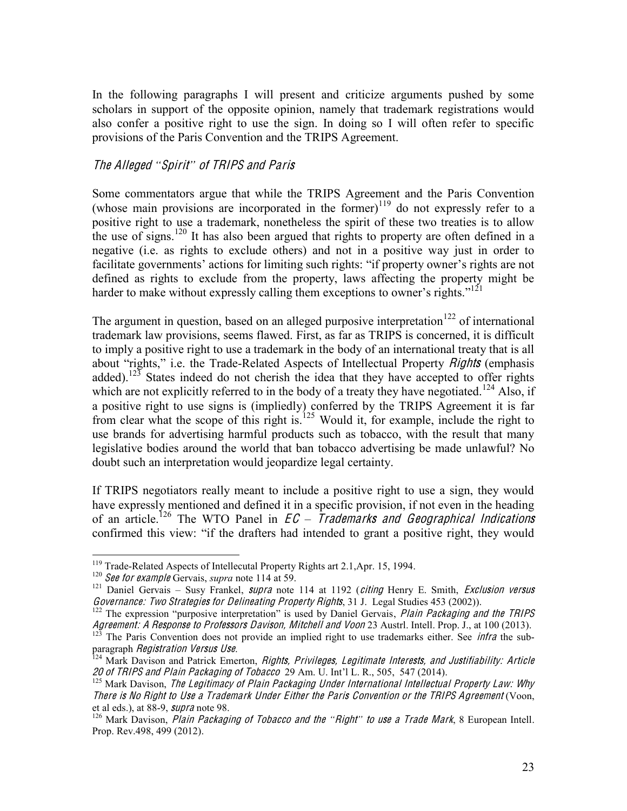In the following paragraphs I will present and criticize arguments pushed by some scholars in support of the opposite opinion, namely that trademark registrations would also confer a positive right to use the sign. In doing so I will often refer to specific provisions of the Paris Convention and the TRIPS Agreement.

#### Th<sup>e</sup> Alleged *³*Spirit*´* <sup>o</sup>f TRIPS and Pari<sup>s</sup>

Some commentators argue that while the TRIPS Agreement and the Paris Convention (whose main provisions are incorporated in the former) $119$  do not expressly refer to a positive right to use a trademark, nonetheless the spirit of these two treaties is to allow the use of signs.<sup>120</sup> It has also been argued that rights to property are often defined in a negative (i.e. as rights to exclude others) and not in a positive way just in order to facilitate governments' actions for limiting such rights: "if property owner's rights are not defined as rights to exclude from the property, laws affecting the property might be harder to make without expressly calling them exceptions to owner's rights."<sup>121</sup>

The argument in question, based on an alleged purposive interpretation<sup>122</sup> of international trademark law provisions, seems flawed. First, as far as TRIPS is concerned, it is difficult to imply a positive right to use a trademark in the body of an international treaty that is all about "rights," i.e. the Trade-Related Aspects of Intellectual Property *Rights* (emphasis added).<sup>123</sup> States indeed do not cherish the idea that they have accepted to offer rights which are not explicitly referred to in the body of a treaty they have negotiated.<sup>124</sup> Also, if a positive right to use signs is (impliedly) conferred by the TRIPS Agreement it is far from clear what the scope of this right is.<sup>125</sup> Would it, for example, include the right to use brands for advertising harmful products such as tobacco, with the result that many legislative bodies around the world that ban tobacco advertising be made unlawful? No doubt such an interpretation would jeopardize legal certainty.

If TRIPS negotiators really meant to include a positive right to use a sign, they would have expressly mentioned and defined it in a specific provision, if not even in the heading of an article.<sup>126</sup> The WTO Panel in  $EC - \overline{I}$ rademarks and Geographical Indications confirmed this view: "if the drafters had intended to grant a positive right, they would

<sup>&</sup>lt;sup>119</sup> Trade-Related Aspects of Intellecutal Property Rights art 2.1, Apr. 15, 1994.<br><sup>120</sup> See for example Gervais, *supra* note 114 at 59.<br><sup>121</sup> Daniel Gervais – Susy Frankel, *supra* note 114 at 1192 (*citing* Henry E. S Governance: Two Strategies for Delineating Property Rights, 31 J. Legal Studies 453 (2002)).<br><sup>122</sup> The expression "purposive interpretation" is used by Daniel Gervais, *Plain Packaging and the TRIPS* 

Agreement: A Response to Professors Davison, Mitchell and Voon 23 Austrl. Intell. Prop. J., at 100 (2013).<br><sup>123</sup> The Paris Convention does not provide an implied right to use trademarks either. See *infra* the sub-<br>paragra

 $\frac{124}{124}$  Mark Davison and Patrick Emerton, *Rights, Privileges, Legitimate Interests, and Justifiability: Article*<br>20 of TRIPS and Plain Packaging of Tobacco 29 Am. U. Int'l L. R., 505, 547 (2014).

 $125$  Mark Davison, The Legitimacy of Plain Packaging Under International Intellectual Property Law: Why There is No Right to Use a Trademark Under Either the Paris Convention or the TRIPS Agreement (Voon, et al eds.), at 88-9, supra note 98.

<sup>&</sup>lt;sup>126</sup> Mark Davison, Plain Packaging of Tobacco and the "Right" to use a Trade Mark, 8 European Intell. Prop. Rev.498, 499 (2012).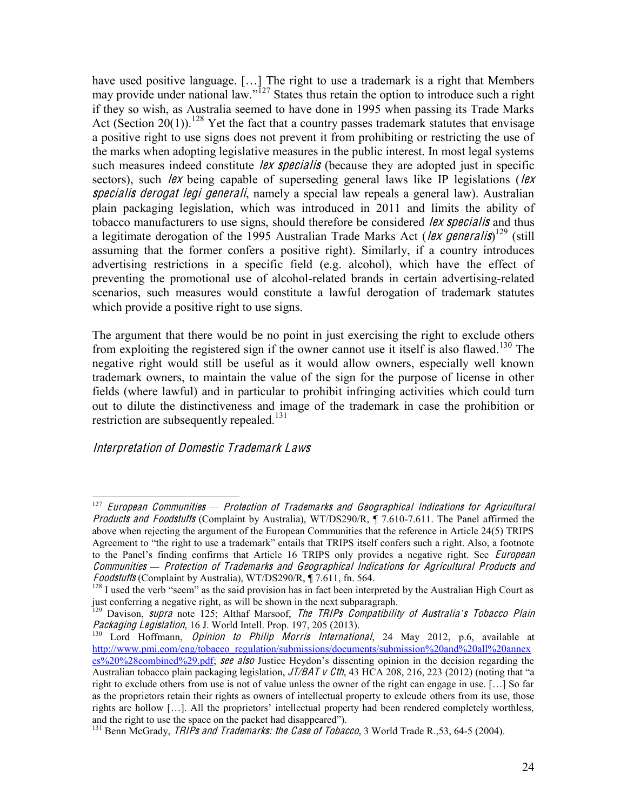have used positive language. [...] The right to use a trademark is a right that Members may provide under national law."<sup>127</sup> States thus retain the option to introduce such a right if they so wish, as Australia seemed to have done in 1995 when passing its Trade Marks Act (Section 20(1)).<sup>128</sup> Yet the fact that a country passes trademark statutes that envisage a positive right to use signs does not prevent it from prohibiting or restricting the use of the marks when adopting legislative measures in the public interest. In most legal systems such measures indeed constitute lex specialis (because they are adopted just in specific sectors), such lex being capable of superseding general laws like IP legislations (lex specialis derogat legi generali, namely a special law repeals a general law). Australian plain packaging legislation, which was introduced in 2011 and limits the ability of tobacco manufacturers to use signs, should therefore be considered *lex specialis* and thus a legitimate derogation of the 1995 Australian Trade Marks Act (*lex generalis*)<sup>129</sup> (still assuming that the former confers a positive right). Similarly, if a country introduces advertising restrictions in a specific field (e.g. alcohol), which have the effect of preventing the promotional use of alcohol-related brands in certain advertising-related scenarios, such measures would constitute a lawful derogation of trademark statutes which provide a positive right to use signs.

The argument that there would be no point in just exercising the right to exclude others from exploiting the registered sign if the owner cannot use it itself is also flawed.<sup>130</sup> The negative right would still be useful as it would allow owners, especially well known trademark owners, to maintain the value of the sign for the purpose of license in other fields (where lawful) and in particular to prohibit infringing activities which could turn out to dilute the distinctiveness and image of the trademark in case the prohibition or restriction are subsequently repealed.<sup>131</sup>

#### Interpretation <sup>o</sup>f Domesti<sup>c</sup> Trademark Law<sup>s</sup>

<sup>&</sup>lt;sup>127</sup> European Communities — Protection of Trademarks and Geographical Indications for Agricultural Products and Foodstuffs (Complaint by Australia), WT/DS290/R, ¶ 7.610-7.611. The Panel affirmed the above when rejecting the argument of the European Communities that the reference in Article 24(5) TRIPS Agreement to "the right to use a trademark" entails that TRIPS itself confers such a right. Also, a footnote to the Panel's finding confirms that Article 16 TRIPS only provides a negative right. See *European Communities — Protection of Trademarks and Geographical Indications for Agricultural Products and* Foodstrangentian Foodstrangentian Foodstrangentian Foodstrangentian Foodstrangentian Foodstrangentian Foodstrangentian Foo

The Superior (Comparint Complaint by Australian), William Australian, Western Engineering Counterpreted by the Australian High Court as

just conferring a negative right, as will be shown in the next subparagraph.<br><sup>129</sup> Davison, *supra* note 125; Althaf Marsoof, *The TRIPs Compatibility of Australia's Tobacco Plain Packaging Legislation*, 16 J. World Intell

 $P_{130}$  Lord Hoffmann, *Opinion to Philip Morris International*, 24 May 2012, p.6, available at http://www.pmi.com/eng/tobacco\_regulation/submissions/documents/submission%20and%20all%20annex  $e^{\frac{1}{2}S^2/20\frac{N}{2}S^2}$ combined%29.pdf; see also Justice Heydon's dissenting opinion in the decision regarding the Australian tobacco plain packaging legislation,  $J\ell BAT \nu Cth$ , 43 HCA 208, 216, 223 (2012) (noting that "a right to exclude others from use is not of value unless the owner of the right can engage in use.  $[\dots]$  So far as the proprietors retain their rights as owners of intellectual property to exlcude others from its use, those rights are hollow  $[\dots]$ . All the proprietors' intellectual property had been rendered completely worthless, and the right to use the space on the packet had disappeared").

 $^{131}$  Benn McGrady, *TRIPs and Trademarks: the Case of Tobacco*, 3 World Trade R., 53, 64-5 (2004).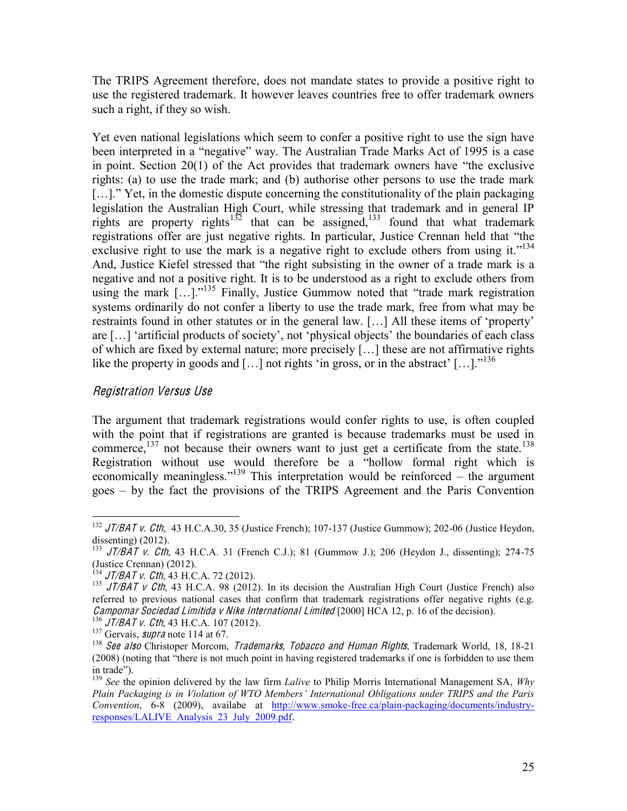The TRIPS Agreement therefore, does not mandate states to provide a positive right to use the registered trademark. It however leaves countries free to offer trademark owners such a right, if they so wish.

Yet even national legislations which seem to confer a positive right to use the sign have been interpreted in a "negative" way. The Australian Trade Marks Act of 1995 is a case in point. Section  $20(1)$  of the Act provides that trademark owners have "the exclusive" rights: (a) to use the trade mark; and (b) authorise other persons to use the trade mark  $[...]$ . Yet, in the domestic dispute concerning the constitutionality of the plain packaging legislation the Australian High Court, while stressing that trademark and in general IP rights are property rights<sup>132</sup> that can be assigned,<sup>133</sup> found that what trademark registrations offer are just negative rights. In particular, Justice Crennan held that "the exclusive right to use the mark is a negative right to exclude others from using it."<sup>134</sup> And, Justice Kiefel stressed that "the right subsisting in the owner of a trade mark is a negative and not a positive right. It is to be understood as a right to exclude others from using the mark  $[...]$ .<sup>135</sup> Finally, Justice Gummow noted that "trade mark registration" systems ordinarily do not confer a liberty to use the trade mark, free from what may be restraints found in other statutes or in the general law.  $[\dots]$  All these items of 'property' are [...] 'artificial products of society', not 'physical objects' the boundaries of each class of which are fixed by external nature; more precisely  $[...]$  these are not affirmative rights like the property in goods and [...] not rights 'in gross, or in the abstract' [...].<sup> $136$ </sup>

#### Registration Versu<sup>s</sup> Us<sup>e</sup>

The argument that trademark registrations would confer rights to use, is often coupled with the point that if registrations are granted is because trademarks must be used in commerce, $137$  not because their owners want to just get a certificate from the state.<sup>138</sup> Registration without use would therefore be a "hollow formal right which is economically meaningless."<sup>139</sup> This interpretation would be reinforced – the argument goes – by the fact the provisions of the TRIPS Agreement and the Paris Convention

 <sup>132</sup> JT/BAT <sup>v</sup>. <sup>C</sup>th, 43 H.C.A.30, 35 (Justice French); 107-137 (Justice Gummow); 202-06 (Justice Heydon, dissenting) (2012).<br><sup>133</sup> JT/BAT v. Cth, 43 H.C.A. 31 (French C.J.); 81 (Gummow J.); 206 (Heydon J., dissenting); 274-75

<sup>(</sup>Justice Crennan) (2012).<br><sup>134</sup> JT/BAT v. Cth, 43 H.C.A. 72 (2012).<br><sup>135</sup> JT/BAT v Cth, 43 H.C.A. 98 (2012). In its decision the Australian High Court (Justice French) also referred to previous national cases that confirm that trademark registrations offer negative rights (e.g. *Campomar Sociedad Limitida v Nike International Limited* [2000] HCA 12, p. 16 of the decision).<br><sup>136</sup> JT/BAT v. Cth, 43 H.C.A. 107 (2012).<br><sup>137</sup> Gervais, *supra* note 114 at 67.<br><sup>138</sup> See also Christoper Morcom, *Tradema* 

<sup>(2008) (</sup>noting that "there is not much point in having registered trademarks if one is forbidden to use them in trade").

<sup>&</sup>lt;sup>139</sup> *See* the opinion delivered by the law firm *Lalive* to Philip Morris International Management SA, *Why Plain Packaging is in Violation of WTO Members' International Obligations under TRIPS and the Paris Convention*, 6-8 (2009), availabe at http://www.smoke-free.ca/plain-packaging/documents/industryresponses/LALIVE\_Analysis\_23\_July\_2009.pdf.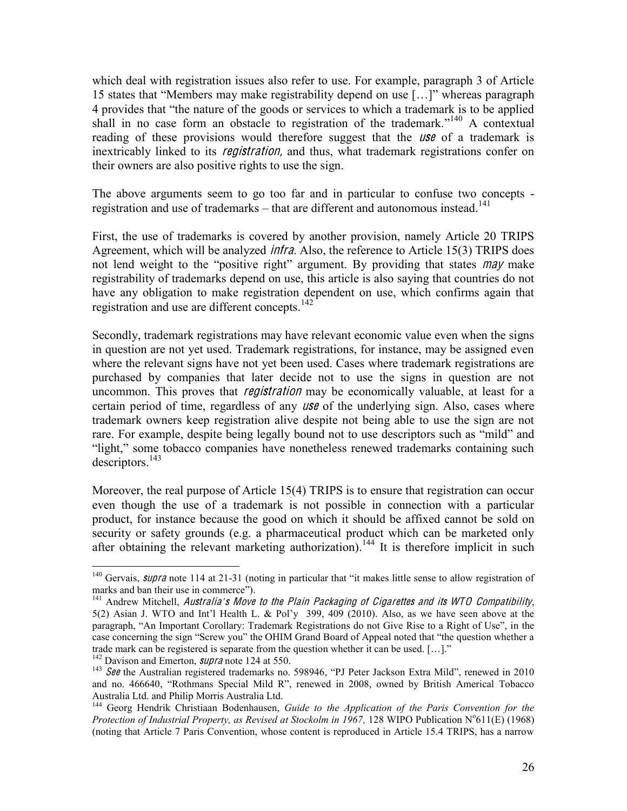which deal with registration issues also refer to use. For example, paragraph 3 of Article 15 states that "Members may make registrability depend on use [...]" whereas paragraph 4 provides that "the nature of the goods or services to which a trademark is to be applied shall in no case form an obstacle to registration of the trademark.<sup>"140</sup> A contextual reading of these provisions would therefore suggest that the *use* of a trademark is inextricably linked to its *registration*, and thus, what trademark registrations confer on their owners are also positive rights to use the sign.

The above arguments seem to go too far and in particular to confuse two concepts registration and use of trademarks  $-$  that are different and autonomous instead.<sup>141</sup>

First, the use of trademarks is covered by another provision, namely Article 20 TRIPS Agreement, which will be analyzed infra. Also, the reference to Article 15(3) TRIPS does not lend weight to the "positive right" argument. By providing that states may make registrability of trademarks depend on use, this article is also saying that countries do not have any obligation to make registration dependent on use, which confirms again that registration and use are different concepts.<sup>142</sup>

Secondly, trademark registrations may have relevant economic value even when the signs in question are not yet used. Trademark registrations, for instance, may be assigned even where the relevant signs have not yet been used. Cases where trademark registrations are purchased by companies that later decide not to use the signs in question are not uncommon. This proves that *registration* may be economically valuable, at least for a certain period of time, regardless of any *use* of the underlying sign. Also, cases where trademark owners keep registration alive despite not being able to use the sign are not rare. For example, despite being legally bound not to use descriptors such as "mild" and "light," some tobacco companies have nonetheless renewed trademarks containing such  $descriptions.<sup>143</sup>$ 

Moreover, the real purpose of Article 15(4) TRIPS is to ensure that registration can occur even though the use of a trademark is not possible in connection with a particular product, for instance because the good on which it should be affixed cannot be sold on security or safety grounds (e.g. a pharmaceutical product which can be marketed only after obtaining the relevant marketing authorization).<sup>144</sup> It is therefore implicit in such

<sup>&</sup>lt;sup>140</sup> Gervais, *supra* note 114 at 21-31 (noting in particular that "it makes little sense to allow registration of marks and ban their use in commerce").

<sup>&</sup>lt;sup>141</sup> Andrew Mitchell, Australia's Move to the Plain Packaging of Cigarettes and its WTO Compatibility,  $5(2)$  Asian J. WTO and Int'l Health L. & Pol'y 399, 409 (2010). Also, as we have seen above at the paragraph, "An Important Corollary: Trademark Registrations do not Give Rise to a Right of Use", in the case concerning the sign "Screw you" the OHIM Grand Board of Appeal noted that "the question whether a trade mark can be registered is separate from the question whether it can be used. [...]."<br><sup>142</sup> Davison and Emerton, *supra* note 124 at 550.

<sup>&</sup>lt;sup>143</sup> See the Australian registered trademarks no. 598946, "PJ Peter Jackson Extra Mild", renewed in 2010 and no. 466640, "Rothmans Special Mild R", renewed in 2008, owned by British Americal Tobacco Australia Ltd. and Philip Morris Australia Ltd.<br><sup>144</sup> Georg Hendrik Christiaan Bodenhausen, *Guide to the Application of the Paris Convention for the* 

Protection of Industrial Property, as Revised at Stockolm in 1967, 128 WIPO Publication N°611(E) (1968) (noting that Article 7 Paris Convention, whose content is reproduced in Article 15.4 TRIPS, has a narrow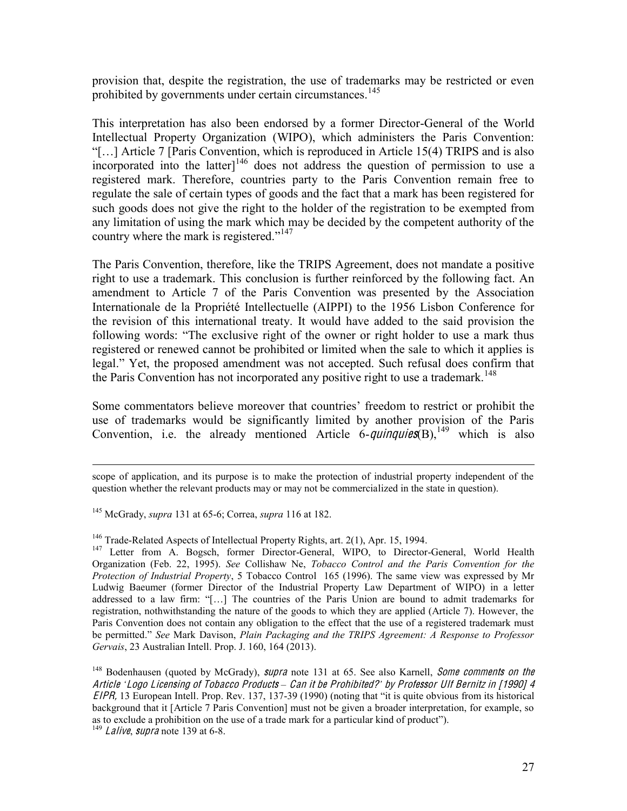provision that, despite the registration, the use of trademarks may be restricted or even prohibited by governments under certain circumstances.<sup>145</sup>

This interpretation has also been endorsed by a former Director-General of the World Intellectual Property Organization (WIPO), which administers the Paris Convention: "[...] Article 7 [Paris Convention, which is reproduced in Article 15(4) TRIPS and is also incorporated into the latter] $146$  does not address the question of permission to use a registered mark. Therefore, countries party to the Paris Convention remain free to regulate the sale of certain types of goods and the fact that a mark has been registered for such goods does not give the right to the holder of the registration to be exempted from any limitation of using the mark which may be decided by the competent authority of the country where the mark is registered."<sup>147</sup>

The Paris Convention, therefore, like the TRIPS Agreement, does not mandate a positive right to use a trademark. This conclusion is further reinforced by the following fact. An amendment to Article 7 of the Paris Convention was presented by the Association Internationale de la Propriété Intellectuelle (AIPPI) to the 1956 Lisbon Conference for the revision of this international treaty. It would have added to the said provision the following words: "The exclusive right of the owner or right holder to use a mark thus registered or renewed cannot be prohibited or limited when the sale to which it applies is legal." Yet, the proposed amendment was not accepted. Such refusal does confirm that the Paris Convention has not incorporated any positive right to use a trademark.<sup>148</sup>

Some commentators believe moreover that countries' freedom to restrict or prohibit the use of trademarks would be significantly limited by another provision of the Paris Convention, i.e. the already mentioned Article  $\vec{6}$ -quinquies(B), <sup>149</sup> which is also

 $\overline{a}$ 

<sup>146</sup> Trade-Related Aspects of Intellectual Property Rights, art. 2(1), Apr. 15, 1994.<br><sup>147</sup> Letter from A. Bogsch, former Director-General, WIPO, to Director-General, World Health Organization (Feb. 22, 1995). *See* Collishaw Ne, *Tobacco Control and the Paris Convention for the Protection of Industrial Property*, 5 Tobacco Control 165 (1996). The same view was expressed by Mr Ludwig Baeumer (former Director of the Industrial Property Law Department of WIPO) in a letter addressed to a law firm: "[...] The countries of the Paris Union are bound to admit trademarks for registration, nothwithstanding the nature of the goods to which they are applied (Article 7). However, the Paris Convention does not contain any obligation to the effect that the use of a registered trademark must be permitted.<sup>*\*</sup>* See Mark Davison, *Plain Packaging and the TRIPS Agreement: A Response to Professor</sup> Gervais*, 23 Australian Intell. Prop. J. 160, 164 (2013).

<sup>148</sup> Bodenhausen (quoted by McGrady), *supra* note 131 at 65. See also Karnell, *Some comments on the* Articl<sup>e</sup> *µ*Logo Licen<sup>s</sup>ing <sup>o</sup>f Tobacc<sup>o</sup> Products *±* Can i<sup>t</sup> b<sup>e</sup> Prohibited?*¶* by Professor Ulf Bernit<sup>z</sup> in [1990] 4  $EIPR$ , 13 European Intell. Prop. Rev. 137, 137-39 (1990) (noting that "it is quite obvious from its historical background that it [Article 7 Paris Convention] must not be given a broader interpretation, for example, so as to exclude a prohibition on the use of a trade mark for a particular kind of product").  $^{149}$  *Lalive, supra* note 139 at 6-8.

scope of application, and its purpose is to make the protection of industrial property independent of the question whether the relevant products may or may not be commercialized in the state in question).

<sup>&</sup>lt;sup>145</sup> McGrady, *supra* 131 at 65-6; Correa, *supra* 116 at 182.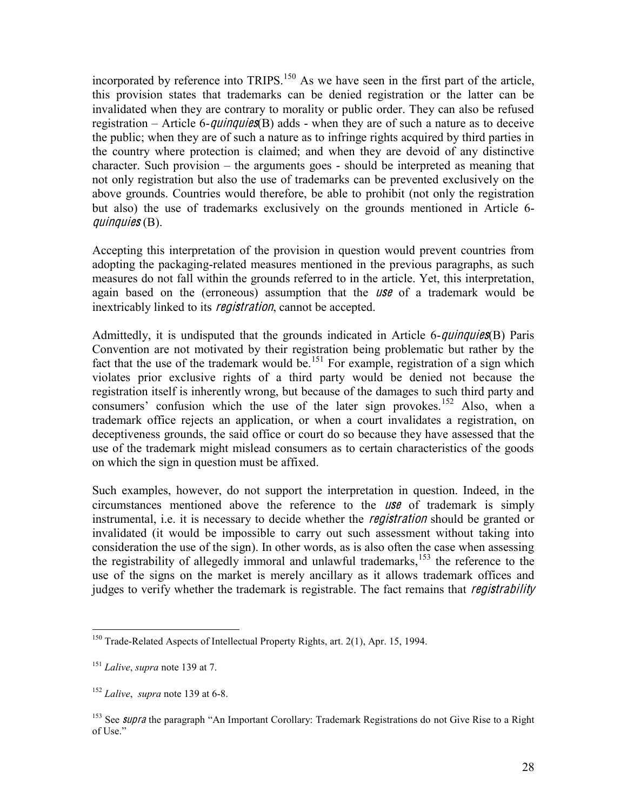incorporated by reference into TRIPS.<sup>150</sup> As we have seen in the first part of the article, this provision states that trademarks can be denied registration or the latter can be invalidated when they are contrary to morality or public order. They can also be refused registration  $-$  Article 6-*quinquies*(B) adds - when they are of such a nature as to deceive the public; when they are of such a nature as to infringe rights acquired by third parties in the country where protection is claimed; and when they are devoid of any distinctive  $character.$  Such provision  $-$  the arguments goes  $-$  should be interpreted as meaning that not only registration but also the use of trademarks can be prevented exclusively on the above grounds. Countries would therefore, be able to prohibit (not only the registration but also) the use of trademarks exclusively on the grounds mentioned in Article 6 quinquies  $(B)$ .

Accepting this interpretation of the provision in question would prevent countries from adopting the packaging-related measures mentioned in the previous paragraphs, as such measures do not fall within the grounds referred to in the article. Yet, this interpretation, again based on the (erroneous) assumption that the *use* of a trademark would be inextricably linked to its *registration*, cannot be accepted.

Admittedly, it is undisputed that the grounds indicated in Article 6-*quinquies*(B) Paris Convention are not motivated by their registration being problematic but rather by the fact that the use of the trademark would be.<sup>151</sup> For example, registration of a sign which violates prior exclusive rights of a third party would be denied not because the registration itself is inherently wrong, but because of the damages to such third party and consumers' confusion which the use of the later sign provokes.<sup>152</sup> Also, when a trademark office rejects an application, or when a court invalidates a registration, on deceptiveness grounds, the said office or court do so because they have assessed that the use of the trademark might mislead consumers as to certain characteristics of the goods on which the sign in question must be affixed.

Such examples, however, do not support the interpretation in question. Indeed, in the circumstances mentioned above the reference to the  $\textit{USE}$  of trademark is simply instrumental, i.e. it is necessary to decide whether the *registration* should be granted or invalidated (it would be impossible to carry out such assessment without taking into consideration the use of the sign). In other words, as is also often the case when assessing the registrability of allegedly immoral and unlawful trademarks,<sup>153</sup> the reference to the use of the signs on the market is merely ancillary as it allows trademark offices and judges to verify whether the trademark is registrable. The fact remains that *registrability* 

<sup>&</sup>lt;sup>150</sup> Trade-Related Aspects of Intellectual Property Rights, art.  $2(1)$ , Apr. 15, 1994.

 $^{151}$  *Lalive*, *supra* note 139 at 7.

 $152$  *Lalive*, *supra* note 139 at 6-8.

<sup>&</sup>lt;sup>153</sup> See *supra* the paragraph "An Important Corollary: Trademark Registrations do not Give Rise to a Right of Use."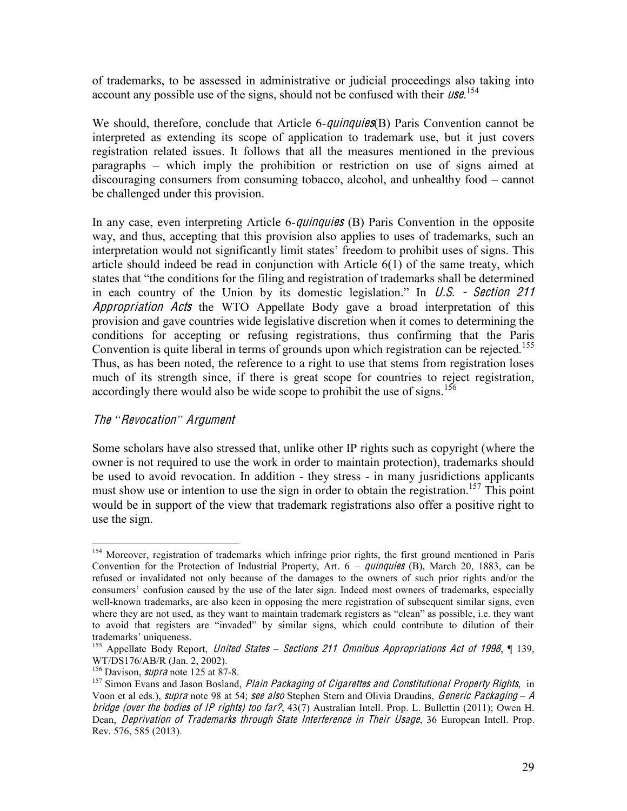of trademarks, to be assessed in administrative or judicial proceedings also taking into account any possible use of the signs, should not be confused with their  $\textit{USE}$ .<sup>154</sup>

We should, therefore, conclude that Article 6-*quinquies*(B) Paris Convention cannot be interpreted as extending its scope of application to trademark use, but it just covers registration related issues. It follows that all the measures mentioned in the previous paragraphs – which imply the prohibition or restriction on use of signs aimed at  $discouraging \; consumers \; from \; consuming \; tobacco, \; alcohol, \; and \; unhealthy \; food - \; cannot$ be challenged under this provision.

In any case, even interpreting Article 6-*quinquies* (B) Paris Convention in the opposite way, and thus, accepting that this provision also applies to uses of trademarks, such an interpretation would not significantly limit states' freedom to prohibit uses of signs. This article should indeed be read in conjunction with Article 6(1) of the same treaty, which states that "the conditions for the filing and registration of trademarks shall be determined in each country of the Union by its domestic legislation." In U.S. - Section 211 Appropriation Acts the WTO Appellate Body gave a broad interpretation of this provision and gave countries wide legislative discretion when it comes to determining the conditions for accepting or refusing registrations, thus confirming that the Paris Convention is quite liberal in terms of grounds upon which registration can be rejected.<sup>155</sup> Thus, as has been noted, the reference to a right to use that stems from registration loses much of its strength since, if there is great scope for countries to reject registration, accordingly there would also be wide scope to prohibit the use of signs.<sup>156</sup>

#### Th<sup>e</sup> *³*Revocation*´* Argum<sup>e</sup>n<sup>t</sup>

Some scholars have also stressed that, unlike other IP rights such as copyright (where the owner is not required to use the work in order to maintain protection), trademarks should be used to avoid revocation. In addition - they stress - in many jusridictions applicants must show use or intention to use the sign in order to obtain the registration.<sup>157</sup> This point would be in support of the view that trademark registrations also offer a positive right to use the sign.

<sup>&</sup>lt;sup>154</sup> Moreover, registration of trademarks which infringe prior rights, the first ground mentioned in Paris Convention for the Protection of Industrial Property, Art.  $6 - \frac{q \mu}{q \mu \epsilon}$  (B), March 20, 1883, can be refused or invalidated not only because of the damages to the owners of such prior rights and/or the consumers' confusion caused by the use of the later sign. Indeed most owners of trademarks, especially well-known trademarks, are also keen in opposing the mere registration of subsequent similar signs, even where they are not used, as they want to maintain trademark registers as "clean" as possible, i.e. they want to avoid that registers are "invaded" by similar signs, which could contribute to dilution of their trademarks' uniqueness.

<sup>&</sup>lt;sup>155</sup> Appellate Body Report, *United States – Sections 211 Omnibus Appropriations Act of 1998*, ¶ 139, WT/DS176/AB/R (Jan. 2, 2002).<br><sup>156</sup> Davison, *supra* note 125 at 87-8.<br><sup>157</sup> Simon Evans and Jason Bosland, *Plain Packaging of Cigarettes and Constitutional Property Rights*, in

Voon et al eds.), *supra* note 98 at 54; see also Stephen Stern and Olivia Draudins, *Generic Packaging - A* bridg<sup>e</sup> (ov<sup>e</sup><sup>r</sup> <sup>t</sup>h<sup>e</sup> bodie<sup>s</sup> <sup>o</sup>f IP rights) <sup>t</sup>oo far?, 43(7) Australian Intell. Prop. L. Bullettin (2011); Owen H. Dean, *Deprivation of Trademarks through State Interference in Their Usage*, 36 European Intell. Prop. Rev. 576, 585 (2013).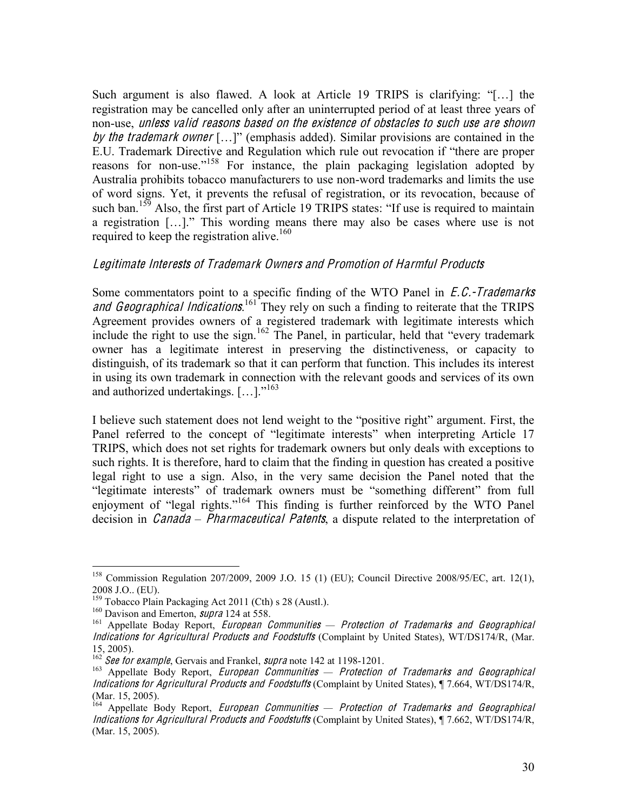Such argument is also flawed. A look at Article 19 TRIPS is clarifying:  $\lq$ [...] the registration may be cancelled only after an uninterrupted period of at least three years of non-use, unless valid <sup>r</sup>eason<sup>s</sup> based on <sup>t</sup>h<sup>e</sup> <sup>e</sup>xistence <sup>o</sup>f obstacle<sup>s</sup> <sup>t</sup><sup>o</sup> <sup>s</sup>uch <sup>u</sup>s<sup>e</sup> ar<sup>e</sup> <sup>s</sup>hown by the trademark owner  $[...]'$  (emphasis added). Similar provisions are contained in the E.U. Trademark Directive and Regulation which rule out revocation if "there are proper reasons for non-use."<sup>158</sup> For instance, the plain packaging legislation adopted by Australia prohibits tobacco manufacturers to use non-word trademarks and limits the use of word signs. Yet, it prevents the refusal of registration, or its revocation, because of such ban.<sup>159</sup> Also, the first part of Article 19 TRIPS states: "If use is required to maintain a registration  $[...]$ . This wording means there may also be cases where use is not required to keep the registration alive.<sup>160</sup>

#### Legitimat<sup>e</sup> Interests <sup>o</sup>f Trademark Owner<sup>s</sup> and Promotion <sup>o</sup>f Harmful Products

Some commentators point to a specific finding of the WTO Panel in *E.C.-Trademarks* and Geographical Indications.<sup>161</sup> They rely on such a finding to reiterate that the TRIPS Agreement provides owners of a registered trademark with legitimate interests which include the right to use the sign.<sup>162</sup> The Panel, in particular, held that "every trademark" owner has a legitimate interest in preserving the distinctiveness, or capacity to distinguish, of its trademark so that it can perform that function. This includes its interest in using its own trademark in connection with the relevant goods and services of its own and authorized undertakings.  $[\dots]$ .<sup>163</sup>

I believe such statement does not lend weight to the "positive right" argument. First, the Panel referred to the concept of "legitimate interests" when interpreting Article 17 TRIPS, which does not set rights for trademark owners but only deals with exceptions to such rights. It is therefore, hard to claim that the finding in question has created a positive legal right to use a sign. Also, in the very same decision the Panel noted that the "legitimate interests" of trademark owners must be "something different" from full enjoyment of "legal rights."<sup>164</sup> This finding is further reinforced by the WTO Panel decision in *Canada – Pharmaceutical Patents*, a dispute related to the interpretation of

 <sup>158</sup> Commission Regulation 207/2009, 2009 J.O. 15 (1) (EU); Council Directive 2008/95/EC, art. 12(1), 2008 J.O.. (EU).<br><sup>159</sup> Tobacco Plain Packaging Act 2011 (Cth) s 28 (Austl.).

<sup>&</sup>lt;sup>160</sup> Davison and Emerton, *supra* 124 at 558.<br><sup>161</sup> Appellate Boday Report, *European Communities — Protection of Trademarks and Geographical* Indication<sup>s</sup> for Agricultural Products and Foodstuffs (Complaint by United States), WT/DS174/R, (Mar. 15, 2005).<br><sup>162</sup> See for example, Gervais and Frankel, *supra* note 142 at 1198-1201.

<sup>&</sup>lt;sup>163</sup> Appellate Body Report, *European Communities — Protection of Trademarks and Geographical* Indication<sup>s</sup> for Agricultural Products and Foodstuffs (Complaint by United States), ¶ 7.664, WT/DS174/R, (Mar. 15, 2005).

<sup>&</sup>lt;sup>164</sup> Appellate Body Report, *European Communities — Protection of Trademarks and Geographical* Indication<sup>s</sup> for Agricultural Products and Foodstuffs (Complaint by United States), ¶ 7.662, WT/DS174/R, (Mar. 15, 2005).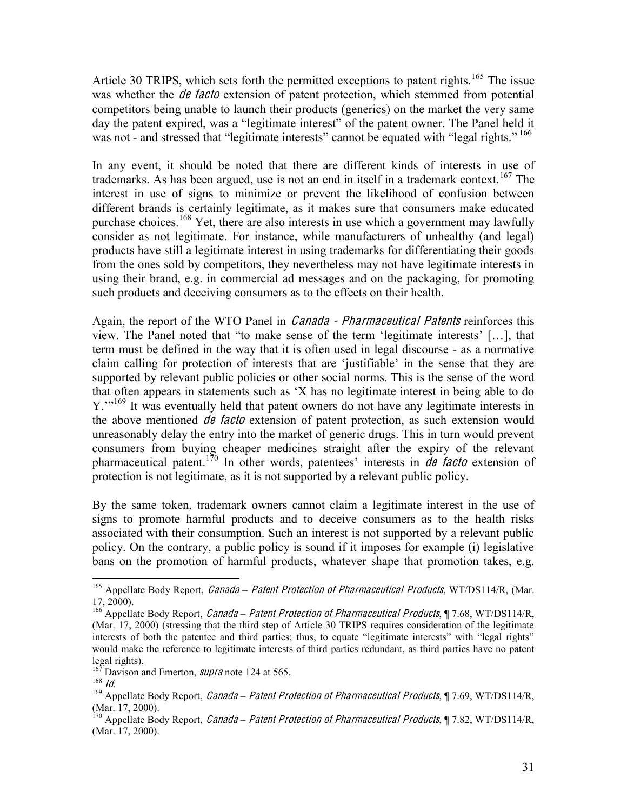Article 30 TRIPS, which sets forth the permitted exceptions to patent rights.<sup>165</sup> The issue was whether the *de facto* extension of patent protection, which stemmed from potential competitors being unable to launch their products (generics) on the market the very same day the patent expired, was a "legitimate interest" of the patent owner. The Panel held it was not - and stressed that "legitimate interests" cannot be equated with "legal rights." <sup>166</sup>

In any event, it should be noted that there are different kinds of interests in use of trademarks. As has been argued, use is not an end in itself in a trademark context.<sup>167</sup> The interest in use of signs to minimize or prevent the likelihood of confusion between different brands is certainly legitimate, as it makes sure that consumers make educated purchase choices.<sup>168</sup> Yet, there are also interests in use which a government may lawfully consider as not legitimate. For instance, while manufacturers of unhealthy (and legal) products have still a legitimate interest in using trademarks for differentiating their goods from the ones sold by competitors, they nevertheless may not have legitimate interests in using their brand, e.g. in commercial ad messages and on the packaging, for promoting such products and deceiving consumers as to the effects on their health.

Again, the report of the WTO Panel in *Canada - Pharmaceutical Patents* reinforces this view. The Panel noted that "to make sense of the term 'legitimate interests'  $[...]$ , that term must be defined in the way that it is often used in legal discourse - as a normative claim calling for protection of interests that are 'justifiable' in the sense that they are supported by relevant public policies or other social norms. This is the sense of the word that often appears in statements such as 'X has no legitimate interest in being able to do Y."<sup>169</sup> It was eventually held that patent owners do not have any legitimate interests in the above mentioned  $\theta \theta$  facto extension of patent protection, as such extension would unreasonably delay the entry into the market of generic drugs. This in turn would prevent consumers from buying cheaper medicines straight after the expiry of the relevant pharmaceutical patent.<sup>170</sup> In other words, patentees' interests in *de facto* extension of protection is not legitimate, as it is not supported by a relevant public policy.

By the same token, trademark owners cannot claim a legitimate interest in the use of signs to promote harmful products and to deceive consumers as to the health risks associated with their consumption. Such an interest is not supported by a relevant public policy. On the contrary, a public policy is sound if it imposes for example (i) legislative bans on the promotion of harmful products, whatever shape that promotion takes, e.g.

<sup>&</sup>lt;sup>165</sup> Appellate Body Report, *Canada - Patent Protection of Pharmaceutical Products*, WT/DS114/R, (Mar. 17, 2000).

<sup>&</sup>lt;sup>166</sup> Appellate Body Report, *Canada – Patent Protection of Pharmaceutical Products*, ¶ 7.68, WT/DS114/R, (Mar. 17, 2000) (stressing that the third step of Article 30 TRIPS requires consideration of the legitimate interests of both the patentee and third parties; thus, to equate "legitimate interests" with "legal rights" would make the reference to legitimate interests of third parties redundant, as third parties have no patent

legal rights).<br><sup>167</sup> Davison and Emerton, *supra* note 124 at 565.<br><sup>168</sup> *ld*.

<sup>&</sup>lt;sup>169</sup> Appellate Body Report, *Canada – Patent Protection of Pharmaceutical Products*, ¶ 7.69, WT/DS114/R, (Mar. 17, 2000).

<sup>&</sup>lt;sup>170</sup> Appellate Body Report, *Canada – Patent Protection of Pharmaceutical Products*, ¶ 7.82, WT/DS114/R, (Mar. 17, 2000).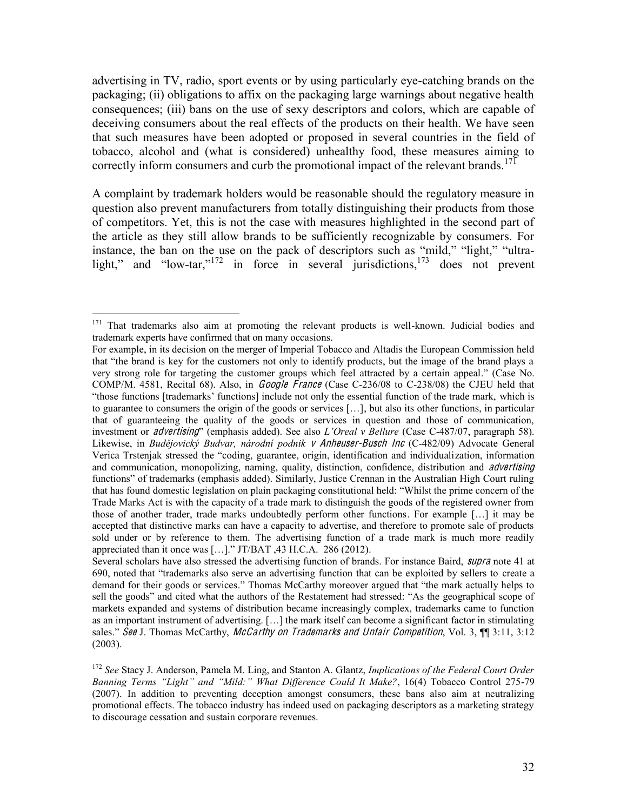advertising in TV, radio, sport events or by using particularly eye-catching brands on the packaging; (ii) obligations to affix on the packaging large warnings about negative health consequences; (iii) bans on the use of sexy descriptors and colors, which are capable of deceiving consumers about the real effects of the products on their health. We have seen that such measures have been adopted or proposed in several countries in the field of tobacco, alcohol and (what is considered) unhealthy food, these measures aiming to correctly inform consumers and curb the promotional impact of the relevant brands.<sup>171</sup>

A complaint by trademark holders would be reasonable should the regulatory measure in question also prevent manufacturers from totally distinguishing their products from those of competitors. Yet, this is not the case with measures highlighted in the second part of the article as they still allow brands to be sufficiently recognizable by consumers. For instance, the ban on the use on the pack of descriptors such as "mild," "light," "ultralight," and "low-tar,"<sup>172</sup> in force in several jurisdictions, <sup>173</sup> does not prevent

<sup>&</sup>lt;sup>171</sup> That trademarks also aim at promoting the relevant products is well-known. Judicial bodies and trademark experts have confirmed that on many occasions.

For example, in its decision on the merger of Imperial Tobacco and Altadis the European Commission held that "the brand is key for the customers not only to identify products, but the image of the brand plays a very strong role for targeting the customer groups which feel attracted by a certain appeal.<sup>"</sup> (Case No. COMP/M. 4581, Recital 68). Also, in *Google France* (Case C-236/08 to C-238/08) the CJEU held that "those functions [trademarks' functions] include not only the essential function of the trade mark, which is to guarantee to consumers the origin of the goods or services  $[\ldots]$ , but also its other functions, in particular that of guaranteeing the quality of the goods or services in question and those of communication, investment or *advertising*<sup>7</sup> (emphasis added). See also *L'Oreal v Bellure* (Case C-487/07, paragraph 58). Likewise, in *Budějovický Budvar, národní podnik v Anheuser-Busch Inc* (C-482/09) Advocate General Verica Trstenjak stressed the "coding, guarantee, origin, identification and individualization, information and communication, monopolizing, naming, quality, distinction, confidence, distribution and *advertising* functions" of trademarks (emphasis added). Similarly, Justice Crennan in the Australian High Court ruling that has found domestic legislation on plain packaging constitutional held: "Whilst the prime concern of the Trade Marks Act is with the capacity of a trade mark to distinguish the goods of the registered owner from those of another trader, trade marks undoubtedly perform other functions. For example  $[\dots]$  it may be accepted that distinctive marks can have a capacity to advertise, and therefore to promote sale of products sold under or by reference to them. The advertising function of a trade mark is much more readily appreciated than it once was [ $\dots$ ]." JT/BAT, 43 H.C.A. 286 (2012).

Several scholars have also stressed the advertising function of brands. For instance Baird, *supra* note 41 at 690, noted that "trademarks also serve an advertising function that can be exploited by sellers to create a demand for their goods or services." Thomas McCarthy moreover argued that "the mark actually helps to sell the goods" and cited what the authors of the Restatement had stressed: "As the geographical scope of markets expanded and systems of distribution became increasingly complex, trademarks came to function as an important instrument of advertising. [...] the mark itself can become a significant factor in stimulating sales." See J. Thomas McCarthy, McCarthy on Trademarks and Unfair Competition, Vol. 3,  $\P$  3:11, 3:12 (2003).

<sup>&</sup>lt;sup>172</sup> *See* Stacy J. Anderson, Pamela M. Ling, and Stanton A. Glantz, *Implications of the Federal Court Order Banning Terms "Light" and "Mild:" What Difference Could It Make?, 16(4) Tobacco Control 275-79* (2007). In addition to preventing deception amongst consumers, these bans also aim at neutralizing promotional effects. The tobacco industry has indeed used on packaging descriptors as a marketing strategy to discourage cessation and sustain corporare revenues.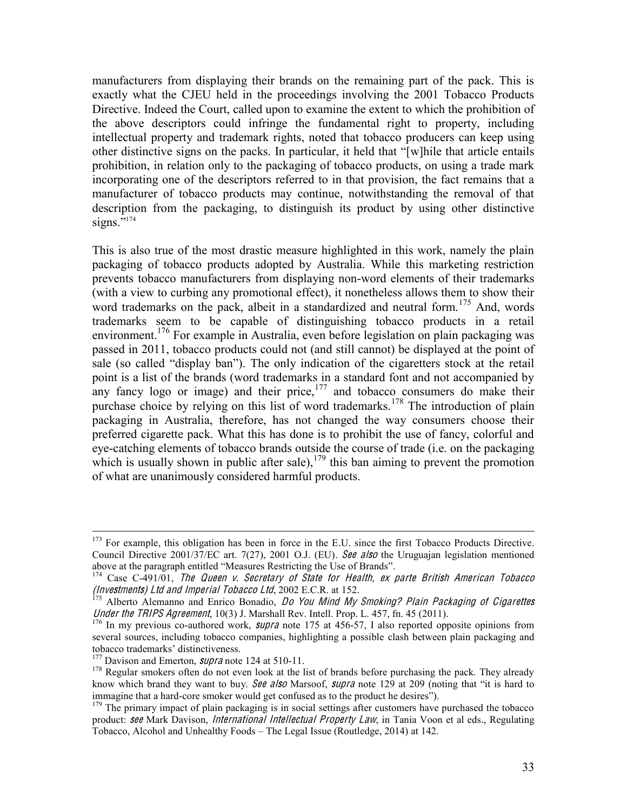manufacturers from displaying their brands on the remaining part of the pack. This is exactly what the CJEU held in the proceedings involving the 2001 Tobacco Products Directive. Indeed the Court, called upon to examine the extent to which the prohibition of the above descriptors could infringe the fundamental right to property, including intellectual property and trademark rights, noted that tobacco producers can keep using other distinctive signs on the packs. In particular, it held that "[w]hile that article entails prohibition, in relation only to the packaging of tobacco products, on using a trade mark incorporating one of the descriptors referred to in that provision, the fact remains that a manufacturer of tobacco products may continue, notwithstanding the removal of that description from the packaging, to distinguish its product by using other distinctive signs. $\overline{\mathcal{O}}^{174}$ 

This is also true of the most drastic measure highlighted in this work, namely the plain packaging of tobacco products adopted by Australia. While this marketing restriction prevents tobacco manufacturers from displaying non-word elements of their trademarks (with a view to curbing any promotional effect), it nonetheless allows them to show their word trademarks on the pack, albeit in a standardized and neutral form.<sup>175</sup> And, words trademarks seem to be capable of distinguishing tobacco products in a retail environment.<sup>176</sup> For example in Australia, even before legislation on plain packaging was passed in 2011, tobacco products could not (and still cannot) be displayed at the point of sale (so called "display ban"). The only indication of the cigaretters stock at the retail point is a list of the brands (word trademarks in a standard font and not accompanied by any fancy logo or image) and their price, $177$  and tobacco consumers do make their purchase choice by relying on this list of word trademarks.<sup>178</sup> The introduction of plain packaging in Australia, therefore, has not changed the way consumers choose their preferred cigarette pack. What this has done is to prohibit the use of fancy, colorful and eye-catching elements of tobacco brands outside the course of trade (i.e. on the packaging which is usually shown in public after sale),  $179$  this ban aiming to prevent the promotion of what are unanimously considered harmful products.

<sup>&</sup>lt;sup>173</sup> For example, this obligation has been in force in the E.U. since the first Tobacco Products Directive. Council Directive 2001/37/EC art. 7(27), 2001 O.J. (EU). See also the Uruguajan legislation mentioned above at the paragraph entitled "Measures Restricting the Use of Brands".<br><sup>174</sup> Case C-491/01, *The Queen v. Secretary of State for Health, ex parte British American Tobacco* 

<sup>(</sup>Investments) Ltd and Imperial Tobacco Ltd, 2002 E.C.R. at 152.<br><sup>175</sup> Alberto Alemanno and Enrico Bonadio, *Do You Mind My Smoking? Plain Packaging of Cigarettes* 

*Under the TRIPS Agreement*, 10(3) J. Marshall Rev. Intell. Prop. L. 457, fn. 45 (2011). <sup>176</sup> In my previous co-authored work, *supra* note 175 at 456-57, I also reported opposite opinions from

several sources, including tobacco companies, highlighting a possible clash between plain packaging and tobacco trademarks' distinctiveness.<br><sup>177</sup> Davison and Emerton, *supra* note 124 at 510-11.

 $178$  Regular smokers often do not even look at the list of brands before purchasing the pack. They already know which brand they want to buy. See also Marsoof, supra note 129 at 209 (noting that "it is hard to immagine that a hard-core smoker would get confused as to the product he desires").<br><sup>179</sup> The primary impact of plain packaging is in social settings after customers have purchased the tobacco

product: see Mark Davison, International Intellectual Property Law, in Tania Voon et al eds., Regulating Tobacco, Alcohol and Unhealthy Foods - The Legal Issue (Routledge, 2014) at 142.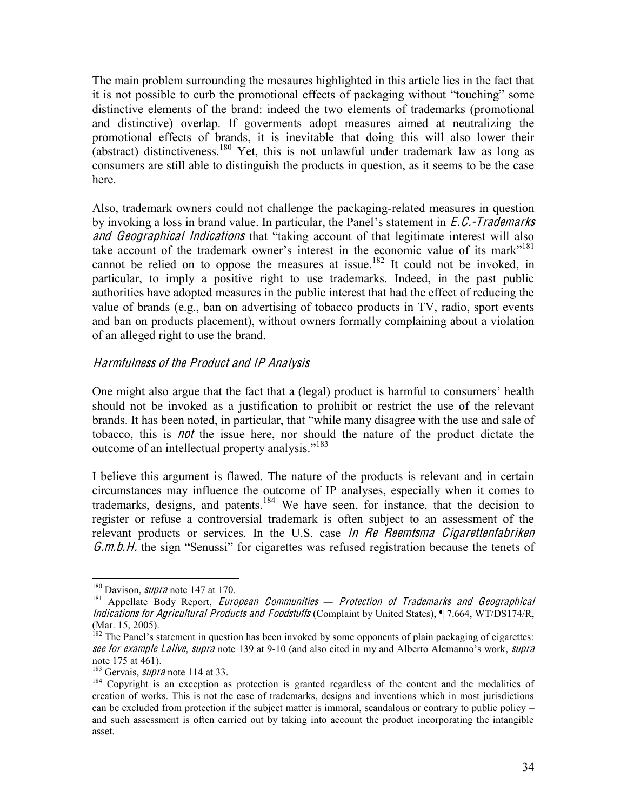The main problem surrounding the mesaures highlighted in this article lies in the fact that it is not possible to curb the promotional effects of packaging without "touching" some distinctive elements of the brand: indeed the two elements of trademarks (promotional and distinctive) overlap. If goverments adopt measures aimed at neutralizing the promotional effects of brands, it is inevitable that doing this will also lower their (abstract) distinctiveness.<sup>180</sup> Yet, this is not unlawful under trademark law as long as consumers are still able to distinguish the products in question, as it seems to be the case here.

Also, trademark owners could not challenge the packaging-related measures in question by invoking a loss in brand value. In particular, the Panel's statement in  $E.C.-Trademarks$ and Geographical Indications that "taking account of that legitimate interest will also take account of the trademark owner's interest in the economic value of its mark<sup>7181</sup> cannot be relied on to oppose the measures at issue.<sup>182</sup> It could not be invoked, in particular, to imply a positive right to use trademarks. Indeed, in the past public authorities have adopted measures in the public interest that had the effect of reducing the value of brands (e.g., ban on advertising of tobacco products in TV, radio, sport events and ban on products placement), without owners formally complaining about a violation of an alleged right to use the brand.

#### Harmfulness <sup>o</sup>f th<sup>e</sup> Product and IP Analysi<sup>s</sup>

One might also argue that the fact that a (legal) product is harmful to consumers' health should not be invoked as a justification to prohibit or restrict the use of the relevant brands. It has been noted, in particular, that "while many disagree with the use and sale of tobacco, this is no<sup>t</sup> the issue here, nor should the nature of the product dictate the outcome of an intellectual property analysis."<sup>183</sup>

I believe this argument is flawed. The nature of the products is relevant and in certain circumstances may influence the outcome of IP analyses, especially when it comes to trademarks, designs, and patents.<sup>184</sup> We have seen, for instance, that the decision to register or refuse a controversial trademark is often subject to an assessment of the relevant products or services. In the U.S. case In Re Reemtsma Cigarettenfabriken  $G.m.b.H.$  the sign "Senussi" for cigarettes was refused registration because the tenets of

<sup>&</sup>lt;sup>180</sup> Davison, *supra* note 147 at 170.<br><sup>181</sup> Appellate Body Report, *European Communities — Protection of Trademarks and Geographical* Indication<sup>s</sup> for Agricultural Products and Foodstuffs (Complaint by United States), ¶ 7.664, WT/DS174/R, (Mar. 15, 2005).

<sup>&</sup>lt;sup>182</sup> The Panel's statement in question has been invoked by some opponents of plain packaging of cigarettes: see for example Lalive, supra note 139 at 9-10 (and also cited in my and Alberto Alemanno's work, supra note 175 at 461).

<sup>&</sup>lt;sup>183</sup> Gervais, *supra* note 114 at 33.<br><sup>184</sup> Copyright is an exception as protection is granted regardless of the content and the modalities of creation of works. This is not the case of trademarks, designs and inventions which in most jurisdictions can be excluded from protection if the subject matter is immoral, scandalous or contrary to public policy  $$ and such assessment is often carried out by taking into account the product incorporating the intangible asset.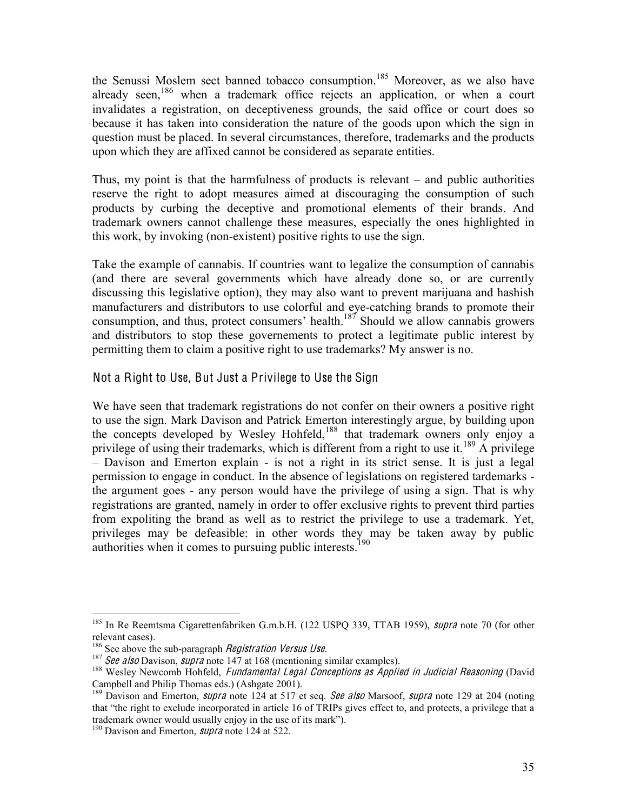the Senussi Moslem sect banned tobacco consumption.<sup>185</sup> Moreover, as we also have already seen,<sup>186</sup> when a trademark office rejects an application, or when a court invalidates a registration, on deceptiveness grounds, the said office or court does so because it has taken into consideration the nature of the goods upon which the sign in question must be placed. In several circumstances, therefore, trademarks and the products upon which they are affixed cannot be considered as separate entities.

Thus, my point is that the harmfulness of products is relevant  $-$  and public authorities reserve the right to adopt measures aimed at discouraging the consumption of such products by curbing the deceptive and promotional elements of their brands. And trademark owners cannot challenge these measures, especially the ones highlighted in this work, by invoking (non-existent) positive rights to use the sign.

Take the example of cannabis. If countries want to legalize the consumption of cannabis (and there are several governments which have already done so, or are currently discussing this legislative option), they may also want to prevent marijuana and hashish manufacturers and distributors to use colorful and eye-catching brands to promote their consumption, and thus, protect consumers' health.<sup>187</sup> Should we allow cannabis growers and distributors to stop these governements to protect a legitimate public interest by permitting them to claim a positive right to use trademarks? My answer is no.

Not a Right to Use, But Just a Privilege to Use the Sign

We have seen that trademark registrations do not confer on their owners a positive right to use the sign. Mark Davison and Patrick Emerton interestingly argue, by building upon the concepts developed by Wesley Hohfeld,<sup>188</sup> that trademark owners only enjoy a privilege of using their trademarks, which is different from a right to use it.<sup>189</sup> A privilege ± Davison and Emerton explain - is not a right in its strict sense. It is just a legal permission to engage in conduct. In the absence of legislations on registered tardemarks the argument goes - any person would have the privilege of using a sign. That is why registrations are granted, namely in order to offer exclusive rights to prevent third parties from expoliting the brand as well as to restrict the privilege to use a trademark. Yet, privileges may be defeasible: in other words they may be taken away by public authorities when it comes to pursuing public interests.<sup>190</sup>

<sup>&</sup>lt;sup>185</sup> In Re Reemtsma Cigarettenfabriken G.m.b.H. (122 USPQ 339, TTAB 1959), *supra* note 70 (for other relevant cases).

<sup>&</sup>lt;sup>186</sup> See above the sub-paragraph *Registration Versus Use*.<br><sup>187</sup> See also Davison, *supra* note 147 at 168 (mentioning similar examples).<br><sup>188</sup> Wesley Newcomb Hohfeld, *Fundamental Legal Conceptions as Applied in Judici* Campbell and Philip Thomas eds.) (Ashgate 2001).<br><sup>189</sup> Davison and Emerton, *supra* note 124 at 517 et seq. *See also* Marsoof, *supra* note 129 at 204 (noting

that "the right to exclude incorporated in article 16 of TRIPs gives effect to, and protects, a privilege that a trademark owner would usually enjoy in the use of its mark").

<sup>&</sup>lt;sup>190</sup> Davison and Emerton, *supra* note 124 at 522.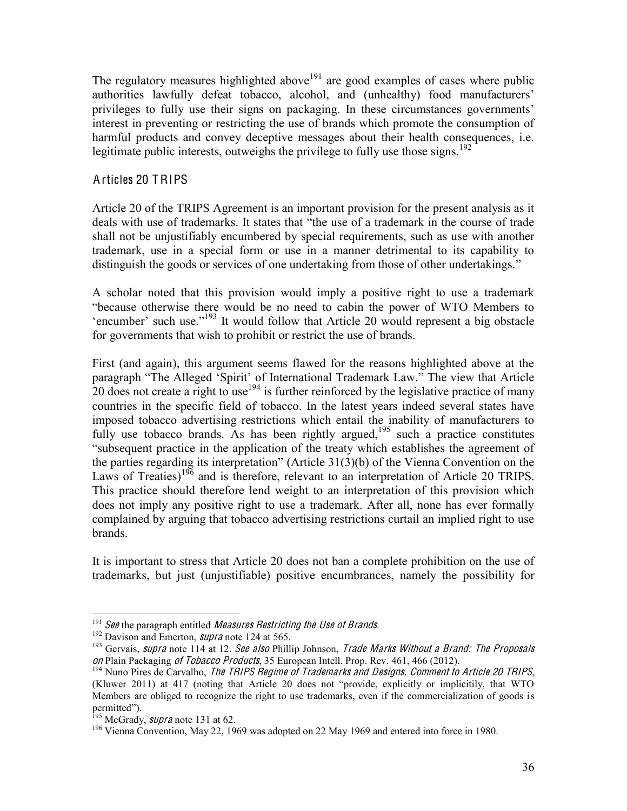The regulatory measures highlighted above<sup>191</sup> are good examples of cases where public authorities lawfully defeat tobacco, alcohol, and (unhealthy) food manufacturers' privileges to fully use their signs on packaging. In these circumstances governments' interest in preventing or restricting the use of brands which promote the consumption of harmful products and convey deceptive messages about their health consequences, i.e. legitimate public interests, outweighs the privilege to fully use those signs.<sup>192</sup>

#### Articles 20 TRIPS

Article 20 of the TRIPS Agreement is an important provision for the present analysis as it deals with use of trademarks. It states that "the use of a trademark in the course of trade shall not be unjustifiably encumbered by special requirements, such as use with another trademark, use in a special form or use in a manner detrimental to its capability to distinguish the goods or services of one undertaking from those of other undertakings.<sup>"</sup>

A scholar noted that this provision would imply a positive right to use a trademark ³because otherwise there would be no need to cabin the power of WTO Members to 'encumber' such use."<sup>193</sup> It would follow that Article 20 would represent a big obstacle for governments that wish to prohibit or restrict the use of brands.

First (and again), this argument seems flawed for the reasons highlighted above at the paragraph "The Alleged 'Spirit' of International Trademark Law." The view that Article  $20$  does not create a right to use<sup>194</sup> is further reinforced by the legislative practice of many countries in the specific field of tobacco. In the latest years indeed several states have imposed tobacco advertising restrictions which entail the inability of manufacturers to fully use tobacco brands. As has been rightly argued,<sup>195</sup> such a practice constitutes "subsequent practice in the application of the treaty which establishes the agreement of the parties regarding its interpretation" (Article  $31(3)(b)$  of the Vienna Convention on the Laws of Treaties)<sup>196</sup> and is therefore, relevant to an interpretation of Article 20 TRIPS. This practice should therefore lend weight to an interpretation of this provision which does not imply any positive right to use a trademark. After all, none has ever formally complained by arguing that tobacco advertising restrictions curtail an implied right to use brands.

It is important to stress that Article 20 does not ban a complete prohibition on the use of trademarks, but just (unjustifiable) positive encumbrances, namely the possibility for

<sup>&</sup>lt;sup>191</sup> See the paragraph entitled *Measures Restricting the Use of Brands.*<br><sup>192</sup> Davison and Emerton, *supra* note 124 at 565.<br><sup>193</sup> Gervais, *supra* note 114 at 12. See also Phillip Johnson, *Trade Marks Without a Brand:* on Plain Packaging of Tobacco Products, 35 European Intell. Prop. Rev. 461, 466 (2012).<br><sup>194</sup> Nuno Pires de Carvalho, *The TRIPS Regime of Trademarks and Designs, Comment to Article 20 TRIPS*,

<sup>(</sup>Kluwer 2011) at 417 (noting that Article 20 does not "provide, explicitly or implicitily, that WTO Members are obliged to recognize the right to use trademarks, even if the commercialization of goods is permitted").<br><sup>195</sup> McGrady, *supra* note 131 at 62.

<sup>&</sup>lt;sup>196</sup> Vienna Convention, May 22, 1969 was adopted on 22 May 1969 and entered into force in 1980.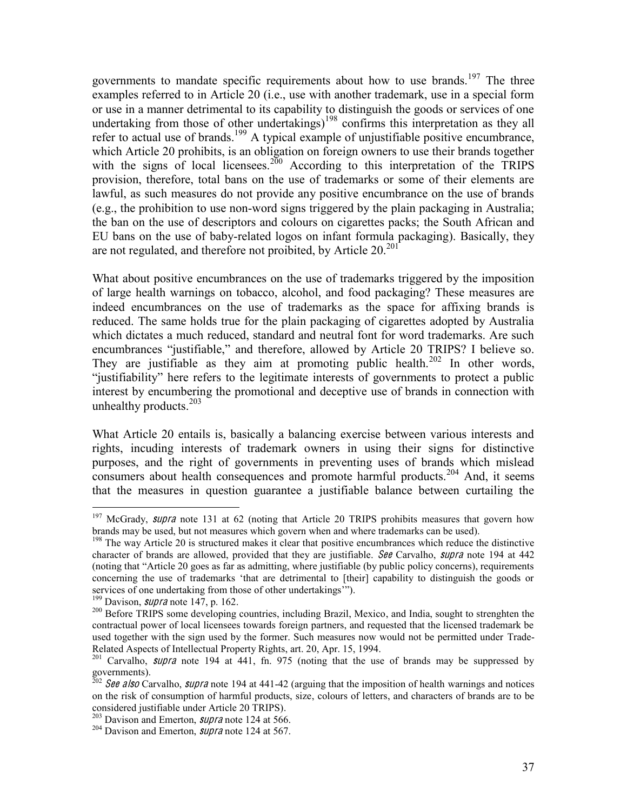governments to mandate specific requirements about how to use brands.<sup>197</sup> The three examples referred to in Article 20 (i.e., use with another trademark, use in a special form or use in a manner detrimental to its capability to distinguish the goods or services of one undertaking from those of other undertakings)<sup>198</sup> confirms this interpretation as they all refer to actual use of brands.<sup>199</sup> A typical example of unjustifiable positive encumbrance, which Article 20 prohibits, is an obligation on foreign owners to use their brands together with the signs of local licensees.<sup>200</sup> According to this interpretation of the TRIPS provision, therefore, total bans on the use of trademarks or some of their elements are lawful, as such measures do not provide any positive encumbrance on the use of brands (e.g., the prohibition to use non-word signs triggered by the plain packaging in Australia; the ban on the use of descriptors and colours on cigarettes packs; the South African and EU bans on the use of baby-related logos on infant formula packaging). Basically, they are not regulated, and therefore not proibited, by Article  $20^{201}$ 

What about positive encumbrances on the use of trademarks triggered by the imposition of large health warnings on tobacco, alcohol, and food packaging? These measures are indeed encumbrances on the use of trademarks as the space for affixing brands is reduced. The same holds true for the plain packaging of cigarettes adopted by Australia which dictates a much reduced, standard and neutral font for word trademarks. Are such encumbrances "justifiable," and therefore, allowed by Article 20 TRIPS? I believe so. They are justifiable as they aim at promoting public health. $202$  In other words, "justifiability" here refers to the legitimate interests of governments to protect a public interest by encumbering the promotional and deceptive use of brands in connection with unhealthy products.<sup>203</sup>

What Article 20 entails is, basically a balancing exercise between various interests and rights, incuding interests of trademark owners in using their signs for distinctive purposes, and the right of governments in preventing uses of brands which mislead consumers about health consequences and promote harmful products.<sup>204</sup> And, it seems that the measures in question guarantee a justifiable balance between curtailing the

<sup>&</sup>lt;sup>197</sup> McGrady, *supra* note 131 at 62 (noting that Article 20 TRIPS prohibits measures that govern how brands may be used, but not measures which govern when and where trademarks can be used).

 $198$  The way Article 20 is structured makes it clear that positive encumbrances which reduce the distinctive character of brands are allowed, provided that they are justifiable. See Carvalho, supra note 194 at  $442$ (noting that "Article 20 goes as far as admitting, where justifiable (by public policy concerns), requirements concerning the use of trademarks 'that are detrimental to [their] capability to distinguish the goods or services of one undertaking from those of other undertakings"").<br><sup>199</sup> Davison, *supra* note 147, p. 162.<br><sup>200</sup> Before TRIPS some developing countries, including Brazil, Mexico, and India, sought to strenghten the

contractual power of local licensees towards foreign partners, and requested that the licensed trademark be used together with the sign used by the former. Such measures now would not be permitted under Trade-Related Aspects of Intellectual Property Rights, art. 20, Apr. 15, 1994.<br><sup>201</sup> Carvalho, *supra* note 194 at 441, fn. 975 (noting that the use of brands may be suppressed by

governments).

<sup>&</sup>lt;sup>202</sup> See also Carvalho, supra note 194 at 441-42 (arguing that the imposition of health warnings and notices on the risk of consumption of harmful products, size, colours of letters, and characters of brands are to be considered justifiable under Article 20 TRIPS).<br><sup>203</sup> Davison and Emerton, *supra* note 124 at 566.<br><sup>204</sup> Davison and Emerton, *supra* note 124 at 567.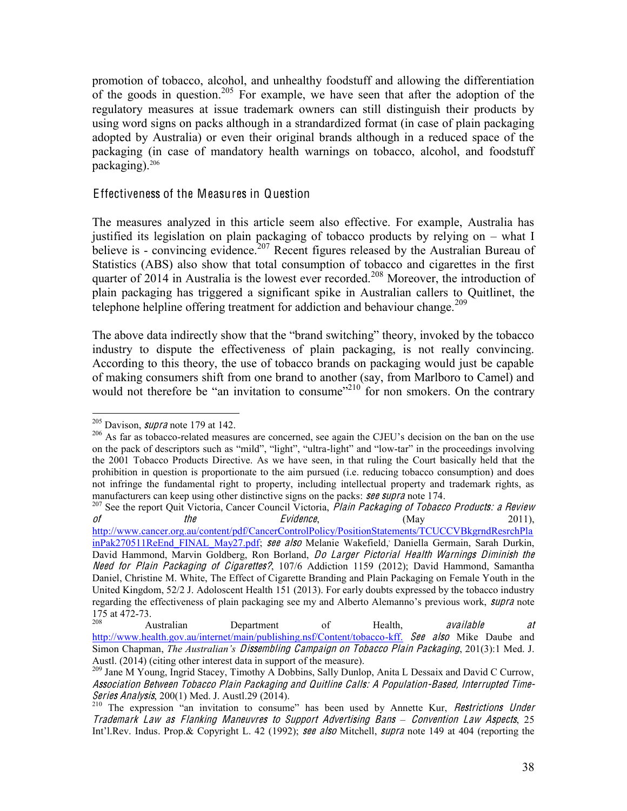promotion of tobacco, alcohol, and unhealthy foodstuff and allowing the differentiation of the goods in question.<sup>205</sup> For example, we have seen that after the adoption of the regulatory measures at issue trademark owners can still distinguish their products by using word signs on packs although in a strandardized format (in case of plain packaging adopted by Australia) or even their original brands although in a reduced space of the packaging (in case of mandatory health warnings on tobacco, alcohol, and foodstuff packaging).206

#### Effectiveness of the Measures in Question

The measures analyzed in this article seem also effective. For example, Australia has justified its legislation on plain packaging of tobacco products by relying on  $-$  what I believe is - convincing evidence.<sup>207</sup> Recent figures released by the Australian Bureau of Statistics (ABS) also show that total consumption of tobacco and cigarettes in the first quarter of 2014 in Australia is the lowest ever recorded.<sup>208</sup> Moreover, the introduction of plain packaging has triggered a significant spike in Australian callers to Quitlinet, the telephone helpline offering treatment for addiction and behaviour change.<sup>209</sup>

The above data indirectly show that the "brand switching" theory, invoked by the tobacco industry to dispute the effectiveness of plain packaging, is not really convincing. According to this theory, the use of tobacco brands on packaging would just be capable of making consumers shift from one brand to another (say, from Marlboro to Camel) and would not therefore be "an invitation to consume"<sup>210</sup> for non smokers. On the contrary

<sup>&</sup>lt;sup>205</sup> Davison, *supra* note 179 at 142.<br><sup>206</sup> As far as tobacco-related measures are concerned, see again the CJEU's decision on the ban on the use on the pack of descriptors such as "mild", "light", "ultra-light" and "low-tar" in the proceedings involving the 2001 Tobacco Products Directive. As we have seen, in that ruling the Court basically held that the prohibition in question is proportionate to the aim pursued (i.e. reducing tobacco consumption) and does not infringe the fundamental right to property, including intellectual property and trademark rights, as manufacturers can keep using other distinctive signs on the packs: **see supra** note 174.

 $^{207}$  See the report Quit Victoria, Cancer Council Victoria, Plain Packaging of Tobacco Products: a Review of the the Evidence, (May 2011), http://www.cancer.org.au/content/pdf/CancerControlPolicy/PositionStatements/TCUCCVBkgrndResrchPla inPak270511ReEnd FINAL May27.pdf; see also Melanie Wakefield, Daniella Germain, Sarah Durkin, David Hammond, Marvin Goldberg, Ron Borland, *Do Larger Pictorial Health Warnings Diminish the* Need for Plain Packaging of Cigarettes?, 107/6 Addiction 1159 (2012); David Hammond, Samantha Daniel, Christine M. White, The Effect of Cigarette Branding and Plain Packaging on Female Youth in the United Kingdom, 52/2 J. Adoloscent Health 151 (2013). For early doubts expressed by the tobacco industry regarding the effectiveness of plain packaging see my and Alberto Alemanno's previous work, *supra* note

<sup>175</sup> at 472-73.<br>
208 Australian Department of Health, available at http://www.health.gov.au/internet/main/publishing.nsf/Content/tobacco-kff. See also Mike Daube and Simon Chapman, *The Australian's Dissembling Campaign on Tobacco Plain Packaging*, 201(3):1 Med. J. Austl. (2014) (citing other interest data in support of the measure).<br><sup>209</sup> Jane M Young, Ingrid Stacey, Timothy A Dobbins, Sally Dunlop, Anita L Dessaix and David C Currow,

Association Betwee<sup>n</sup> Tobacc<sup>o</sup> Plain Packaging and Quitlin<sup>e</sup> Calls: A Population-Based, Interrupted Time-Series Analysis, 200(1) Med. J. Austl.29 (2014).<br><sup>210</sup> The expression "an invitation to consume" has been used by Annette Kur, *Restrictions Under* 

Trademark Law as Flanking Maneuvres to Support Advertising Bans – Convention Law Aspects, 25 Int'l.Rev. Indus. Prop.& Copyright L. 42 (1992); see also Mitchell, supra note 149 at 404 (reporting the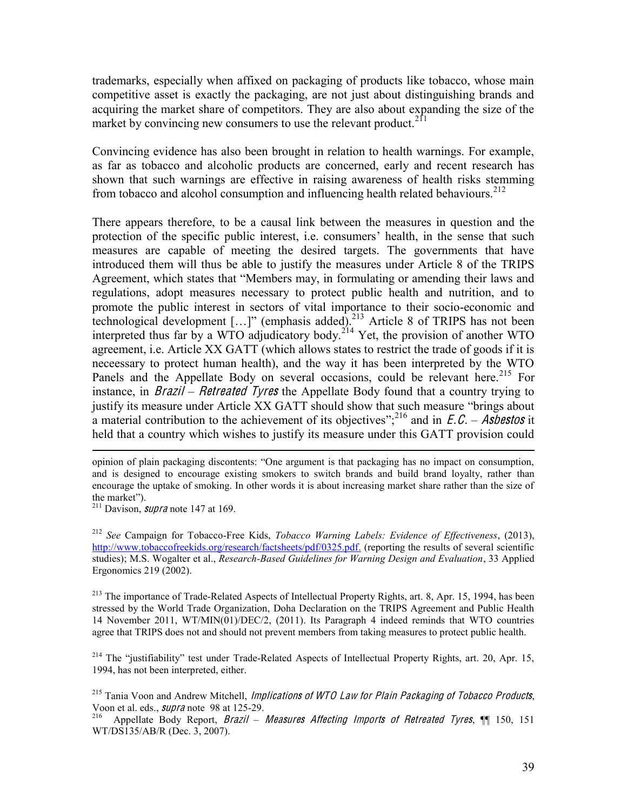trademarks, especially when affixed on packaging of products like tobacco, whose main competitive asset is exactly the packaging, are not just about distinguishing brands and acquiring the market share of competitors. They are also about expanding the size of the market by convincing new consumers to use the relevant product.<sup>211</sup>

Convincing evidence has also been brought in relation to health warnings. For example, as far as tobacco and alcoholic products are concerned, early and recent research has shown that such warnings are effective in raising awareness of health risks stemming from tobacco and alcohol consumption and influencing health related behaviours.<sup>212</sup>

There appears therefore, to be a causal link between the measures in question and the protection of the specific public interest, i.e. consumers' health, in the sense that such measures are capable of meeting the desired targets. The governments that have introduced them will thus be able to justify the measures under Article 8 of the TRIPS Agreement, which states that "Members may, in formulating or amending their laws and regulations, adopt measures necessary to protect public health and nutrition, and to promote the public interest in sectors of vital importance to their socio-economic and technological development  $[\dots]$ " (emphasis added).<sup>213</sup> Article 8 of TRIPS has not been interpreted thus far by a WTO adjudicatory body.<sup>214</sup> Yet, the provision of another WTO agreement, i.e. Article XX GATT (which allows states to restrict the trade of goods if it is neceessary to protect human health), and the way it has been interpreted by the WTO Panels and the Appellate Body on several occasions, could be relevant here.<sup>215</sup> For instance, in *Brazil – Retreated Tyres* the Appellate Body found that a country trying to justify its measure under Article XX GATT should show that such measure "brings about a material contribution to the achievement of its objectives";<sup>216</sup> and in  $E.C. - Asbestos$  it held that a country which wishes to justify its measure under this GATT provision could

 $\overline{a}$ 

<sup>212</sup> *See* Campaign for Tobacco-Free Kids, *Tobacco Warning Labels: Evidence of Effectiveness*, (2013), http://www.tobaccofreekids.org/research/factsheets/pdf/0325.pdf. (reporting the results of several scientific studies); M.S. Wogalter et al., *Research-Based Guidelines for Warning Design and Evaluation*, 33 Applied Ergonomics 219 (2002).

<sup>213</sup> The importance of Trade-Related Aspects of Intellectual Property Rights, art. 8, Apr. 15, 1994, has been stressed by the World Trade Organization, Doha Declaration on the TRIPS Agreement and Public Health 14 November 2011, WT/MIN(01)/DEC/2, (2011). Its Paragraph 4 indeed reminds that WTO countries agree that TRIPS does not and should not prevent members from taking measures to protect public health.

<sup>214</sup> The "justifiability" test under Trade-Related Aspects of Intellectual Property Rights, art. 20, Apr. 15, 1994, has not been interpreted, either.

opinion of plain packaging discontents: "One argument is that packaging has no impact on consumption, and is designed to encourage existing smokers to switch brands and build brand loyalty, rather than encourage the uptake of smoking. In other words it is about increasing market share rather than the size of the market").

 $\frac{211}{211}$  Davison, *supra* note 147 at 169.

<sup>&</sup>lt;sup>215</sup> Tania Voon and Andrew Mitchell, *Implications of WTO Law for Plain Packaging of Tobacco Products*, Voon et al. eds., *supra* note 98 at 125-29.

<sup>&</sup>lt;sup>216</sup> Appellate Body Report, *Brazil – Measures Affecting Imports of Retreated Tyres*, ¶ 150, 151 WT/DS135/AB/R (Dec. 3, 2007).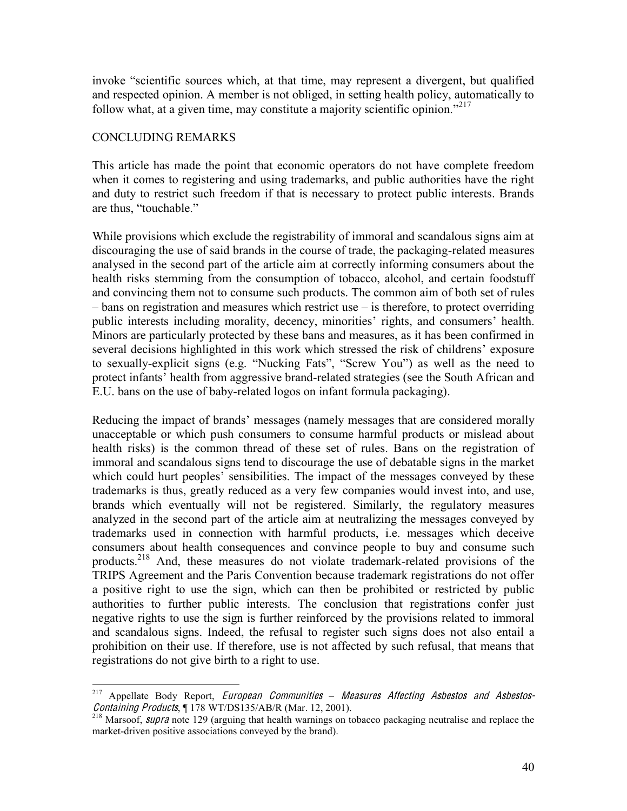invoke "scientific sources which, at that time, may represent a divergent, but qualified and respected opinion. A member is not obliged, in setting health policy, automatically to follow what, at a given time, may constitute a majority scientific opinion.<sup>7217</sup>

#### CONCLUDING REMARKS

This article has made the point that economic operators do not have complete freedom when it comes to registering and using trademarks, and public authorities have the right and duty to restrict such freedom if that is necessary to protect public interests. Brands are thus, "touchable."

While provisions which exclude the registrability of immoral and scandalous signs aim at discouraging the use of said brands in the course of trade, the packaging-related measures analysed in the second part of the article aim at correctly informing consumers about the health risks stemming from the consumption of tobacco, alcohol, and certain foodstuff and convincing them not to consume such products. The common aim of both set of rules  $-\bar{\nu}$  bans on registration and measures which restrict use  $-\bar{\nu}$  is therefore, to protect overriding public interests including morality, decency, minorities' rights, and consumers' health. Minors are particularly protected by these bans and measures, as it has been confirmed in several decisions highlighted in this work which stressed the risk of childrens' exposure to sexually-explicit signs (e.g. "Nucking Fats", "Screw You") as well as the need to protect infants' health from aggressive brand-related strategies (see the South African and E.U. bans on the use of baby-related logos on infant formula packaging).

Reducing the impact of brands' messages (namely messages that are considered morally unacceptable or which push consumers to consume harmful products or mislead about health risks) is the common thread of these set of rules. Bans on the registration of immoral and scandalous signs tend to discourage the use of debatable signs in the market which could hurt peoples' sensibilities. The impact of the messages conveyed by these trademarks is thus, greatly reduced as a very few companies would invest into, and use, brands which eventually will not be registered. Similarly, the regulatory measures analyzed in the second part of the article aim at neutralizing the messages conveyed by trademarks used in connection with harmful products, i.e. messages which deceive consumers about health consequences and convince people to buy and consume such products.<sup>218</sup> And, these measures do not violate trademark-related provisions of the TRIPS Agreement and the Paris Convention because trademark registrations do not offer a positive right to use the sign, which can then be prohibited or restricted by public authorities to further public interests. The conclusion that registrations confer just negative rights to use the sign is further reinforced by the provisions related to immoral and scandalous signs. Indeed, the refusal to register such signs does not also entail a prohibition on their use. If therefore, use is not affected by such refusal, that means that registrations do not give birth to a right to use.

<sup>&</sup>lt;sup>217</sup> Appellate Body Report, *European Communities – Measures Affecting Asbestos and Asbestos-*<br>*Containing Products*, ¶178 WT/DS135/AB/R (Mar. 12, 2001).

 $\frac{218}{218}$  Marsoof, *supra* note 129 (arguing that health warnings on tobacco packaging neutralise and replace the market-driven positive associations conveyed by the brand).